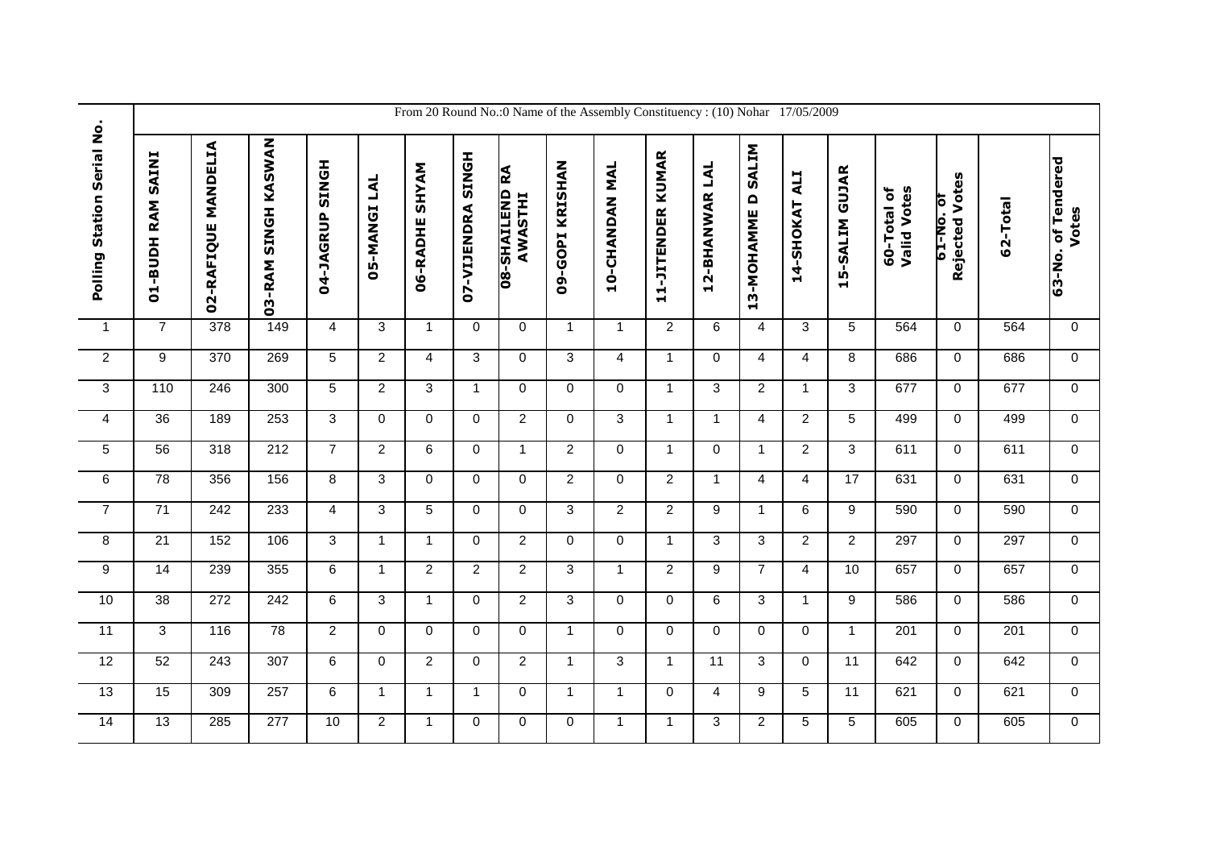|                            |                             |                     |                     |                           |                        |                          |                   |                                  |                 | From 20 Round No.:0 Name of the Assembly Constituency: (10) Nohar 17/05/2009 |                   |                |                                         |                         |                |                            |                                   |          |                             |
|----------------------------|-----------------------------|---------------------|---------------------|---------------------------|------------------------|--------------------------|-------------------|----------------------------------|-----------------|------------------------------------------------------------------------------|-------------------|----------------|-----------------------------------------|-------------------------|----------------|----------------------------|-----------------------------------|----------|-----------------------------|
| Polling Station Serial No. | <b>SAINI</b><br>01-BUDH RAM | 02-RAFIQUE MANDELIA | 03-RAM SINGH KASWAN | <b>HONIS</b><br>04-JAGRUP | LAL<br><b>D5-MANGI</b> | <b>SHYAM</b><br>06-RADHE | 07-VIJENDRA SINGH | <b>08-SHAILEND RA</b><br>AWASTHI | 09-GOPI KRISHAN | 10-CHANDAN MAL                                                               | 11-JITENDER KUMAR | 12-BHANWAR LAL | SALIM<br>$\mathbf \Omega$<br>13-MOHAMME | <b>TTV</b><br>14-SHOKAT | 15-SALIM GUJAR | 60-Total of<br>Valid Votes | Rejected Votes<br><b>10.0N-T9</b> | 62-Total | 63-No. of Tendered<br>Votes |
| $\mathbf{1}$               | $\overline{7}$              | 378                 | 149                 | 4                         | 3                      | $\overline{1}$           | 0                 | $\mathbf 0$                      | $\mathbf{1}$    | $\overline{1}$                                                               | $\overline{2}$    | $\,6\,$        | 4                                       | 3                       | 5              | 564                        | $\mathbf 0$                       | 564      | $\mathbf 0$                 |
| $\overline{2}$             | 9                           | 370                 | 269                 | $\sqrt{5}$                | $\overline{2}$         | $\overline{4}$           | 3                 | $\mathbf 0$                      | 3               | 4                                                                            | $\mathbf{1}$      | $\mathbf 0$    | $\overline{4}$                          | $\overline{4}$          | 8              | 686                        | 0                                 | 686      | $\mathbf{0}$                |
| 3                          | 110                         | 246                 | 300                 | 5                         | $\overline{2}$         | 3                        | $\mathbf{1}$      | 0                                | 0               | $\mathbf 0$                                                                  | $\mathbf{1}$      | 3              | $\overline{2}$                          | $\mathbf{1}$            | 3              | 677                        | 0                                 | 677      | $\mathbf 0$                 |
| $\overline{4}$             | 36                          | 189                 | 253                 | $\overline{3}$            | $\overline{0}$         | $\mathbf 0$              | $\mathbf 0$       | $\overline{2}$                   | $\mathbf 0$     | 3                                                                            | $\mathbf{1}$      | $\mathbf{1}$   | $\overline{4}$                          | $\overline{2}$          | $\overline{5}$ | 499                        | $\mathbf 0$                       | 499      | $\Omega$                    |
| 5                          | $\overline{56}$             | 318                 | $\overline{212}$    | $\overline{7}$            | $\overline{2}$         | 6                        | $\Omega$          | $\mathbf{1}$                     | $\overline{2}$  | $\Omega$                                                                     | $\mathbf{1}$      | $\mathbf 0$    | $\mathbf{1}$                            | $\overline{2}$          | 3              | 611                        | $\overline{0}$                    | 611      | $\Omega$                    |
| $\overline{6}$             | 78                          | 356                 | 156                 | 8                         | 3                      | $\mathbf 0$              | $\mathbf{0}$      | $\mathbf 0$                      | $\overline{2}$  | $\mathbf 0$                                                                  | $\overline{2}$    | $\mathbf{1}$   | $\overline{4}$                          | $\overline{4}$          | 17             | 631                        | $\mathbf 0$                       | 631      | $\mathbf 0$                 |
| $\overline{7}$             | 71                          | 242                 | 233                 | $\overline{4}$            | 3                      | 5                        | $\Omega$          | $\mathbf 0$                      | 3               | 2                                                                            | 2                 | 9              | $\mathbf{1}$                            | 6                       | 9              | 590                        | $\mathbf 0$                       | 590      | $\mathbf 0$                 |
| 8                          | 21                          | 152                 | 106                 | $\mathbf{3}$              | $\mathbf{1}$           | $\mathbf{1}$             | $\mathbf{0}$      | $\overline{2}$                   | $\mathbf 0$     | $\mathbf 0$                                                                  | $\mathbf{1}$      | 3              | 3                                       | $\overline{2}$          | $\overline{2}$ | 297                        | $\mathbf 0$                       | 297      | $\Omega$                    |
| $\overline{9}$             | $\overline{14}$             | 239                 | 355                 | 6                         | $\mathbf{1}$           | 2                        | $\overline{2}$    | $\overline{2}$                   | 3               | $\mathbf{1}$                                                                 | 2                 | 9              | $\overline{7}$                          | $\overline{4}$          | 10             | 657                        | $\mathbf 0$                       | 657      | $\Omega$                    |
| 10                         | $\overline{38}$             | 272                 | 242                 | 6                         | 3                      | $\mathbf{1}$             | $\mathbf 0$       | $\overline{2}$                   | 3               | $\mathbf 0$                                                                  | $\mathbf 0$       | $\,6\,$        | 3                                       | $\mathbf{1}$            | 9              | 586                        | $\mathbf 0$                       | 586      | $\mathbf 0$                 |
| 11                         | $\overline{3}$              | 116                 | 78                  | $\overline{2}$            | $\mathbf 0$            | $\Omega$                 | $\Omega$          | $\mathbf 0$                      | $\mathbf{1}$    | $\Omega$                                                                     | $\Omega$          | $\mathbf 0$    | $\Omega$                                | $\Omega$                | $\mathbf{1}$   | 201                        | $\overline{0}$                    | 201      | $\Omega$                    |
| 12                         | 52                          | 243                 | 307                 | $\,6$                     | 0                      | $\overline{2}$           | $\mathbf{0}$      | $\overline{2}$                   | $\mathbf{1}$    | 3                                                                            | $\mathbf{1}$      | 11             | 3                                       | $\mathbf 0$             | 11             | 642                        | 0                                 | 642      | $\mathbf 0$                 |
| 13                         | 15                          | 309                 | 257                 | $\overline{6}$            | $\mathbf{1}$           | $\mathbf{1}$             | $\mathbf{1}$      | $\mathbf 0$                      | $\mathbf{1}$    | $\mathbf{1}$                                                                 | $\Omega$          | $\overline{4}$ | $\overline{9}$                          | 5                       | 11             | 621                        | $\mathbf 0$                       | 621      | $\mathbf{0}$                |
| 14                         | 13                          | 285                 | 277                 | 10                        | $\overline{2}$         | $\mathbf{1}$             | 0                 | $\mathbf 0$                      | $\mathbf 0$     | $\mathbf{1}$                                                                 | $\mathbf{1}$      | 3              | $\overline{2}$                          | 5                       | 5              | 605                        | 0                                 | 605      | $\mathbf 0$                 |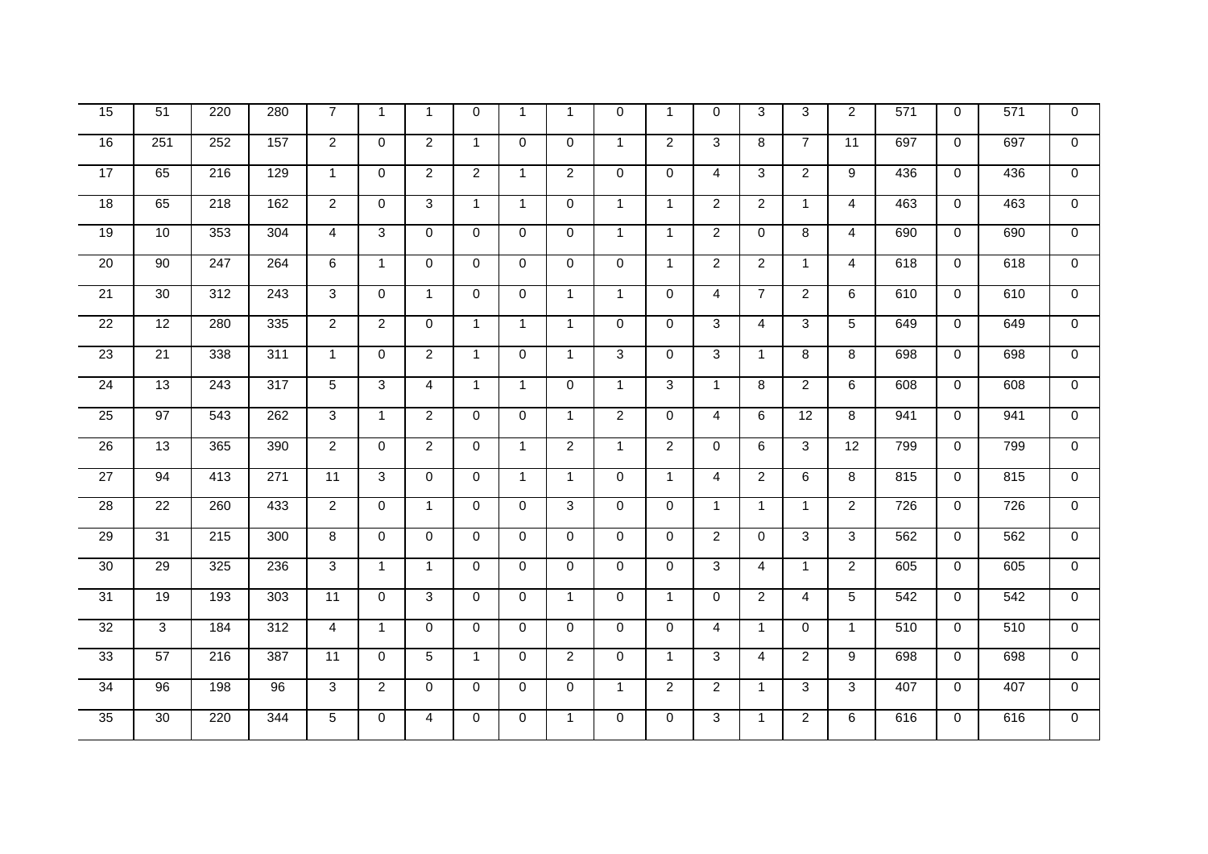| 15              | 51                  | 220              | 280              | $\overline{7}$  | $\overline{1}$ | $\overline{1}$ | $\mathbf 0$    | $\mathbf{1}$   | $\mathbf 1$    | $\Omega$       | $\mathbf{1}$   | $\Omega$       | 3              | 3              | $\overline{2}$ | 571 | $\mathbf 0$ | 571 | $\mathbf 0$    |
|-----------------|---------------------|------------------|------------------|-----------------|----------------|----------------|----------------|----------------|----------------|----------------|----------------|----------------|----------------|----------------|----------------|-----|-------------|-----|----------------|
| 16              | 251                 | 252              | 157              | $\overline{2}$  | $\mathbf 0$    | $\overline{2}$ | $\mathbf{1}$   | $\mathbf 0$    | $\mathbf 0$    | $\mathbf{1}$   | $\overline{2}$ | 3              | 8              | $\overline{7}$ | 11             | 697 | $\mathbf 0$ | 697 | $\mathbf 0$    |
| 17              | 65                  | 216              | 129              | $\mathbf{1}$    | $\mathbf 0$    | $\overline{2}$ | $\overline{2}$ | $\mathbf{1}$   | $\overline{2}$ | $\Omega$       | $\Omega$       | 4              | 3              | $\overline{2}$ | 9              | 436 | $\mathbf 0$ | 436 | $\mathbf 0$    |
| 18              | 65                  | $\overline{218}$ | 162              | $\overline{2}$  | $\Omega$       | 3              | $\mathbf{1}$   | $\mathbf{1}$   | $\mathbf 0$    | $\overline{1}$ | $\mathbf{1}$   | $\overline{2}$ | $\overline{2}$ | $\mathbf{1}$   | $\overline{4}$ | 463 | $\mathbf 0$ | 463 | $\overline{0}$ |
| $\overline{19}$ | 10                  | 353              | 304              | $\overline{4}$  | 3              | 0              | $\mathbf 0$    | 0              | $\mathbf 0$    | $\mathbf{1}$   | $\mathbf{1}$   | $\overline{2}$ | 0              | 8              | 4              | 690 | 0           | 690 | $\overline{0}$ |
| 20              | 90                  | 247              | 264              | 6               | $\mathbf{1}$   | $\Omega$       | $\mathbf 0$    | $\mathbf 0$    | 0              | $\Omega$       | $\mathbf{1}$   | $\overline{a}$ | $\overline{2}$ | $\mathbf{1}$   | $\overline{4}$ | 618 | $\mathbf 0$ | 618 | $\overline{0}$ |
| $\overline{21}$ | 30                  | $\overline{312}$ | $\overline{243}$ | $\overline{3}$  | $\mathbf 0$    | $\mathbf{1}$   | $\Omega$       | $\mathbf 0$    | $\mathbf{1}$   | $\overline{1}$ | $\Omega$       | $\overline{4}$ | $\overline{7}$ | $\overline{2}$ | 6              | 610 | $\mathbf 0$ | 610 | $\overline{0}$ |
| $\overline{22}$ | 12                  | 280              | 335              | $\overline{2}$  | $\overline{2}$ | $\Omega$       | $\mathbf{1}$   | $\overline{1}$ | $\mathbf{1}$   | $\Omega$       | $\Omega$       | 3              | 4              | 3              | 5              | 649 | $\mathbf 0$ | 649 | $\overline{0}$ |
| 23              | 21                  | 338              | 311              | $\mathbf{1}$    | 0              | $\overline{2}$ | $\mathbf{1}$   | $\mathbf 0$    | $\mathbf{1}$   | 3              | $\Omega$       | 3              | $\mathbf{1}$   | 8              | 8              | 698 | $\mathbf 0$ | 698 | $\overline{0}$ |
| 24              | 13                  | $\overline{243}$ | $\overline{317}$ | $\overline{5}$  | $\overline{3}$ | $\overline{4}$ | $\mathbf{1}$   | $\mathbf{1}$   | $\mathbf 0$    | $\mathbf{1}$   | 3              | $\mathbf{1}$   | 8              | $\overline{2}$ | 6              | 608 | $\mathbf 0$ | 608 | $\overline{0}$ |
| $\overline{25}$ | 97                  | 543              | 262              | 3               | $\mathbf{1}$   | $\overline{2}$ | $\mathbf 0$    | $\mathbf 0$    | $\mathbf{1}$   | $\overline{2}$ | $\Omega$       | 4              | 6              | 12             | 8              | 941 | $\mathbf 0$ | 941 | $\mathbf 0$    |
| $\overline{26}$ | $\overline{13}$     | 365              | 390              | $\overline{2}$  | $\mathbf 0$    | $\overline{2}$ | $\mathbf 0$    | $\mathbf{1}$   | $\overline{2}$ | $\mathbf{1}$   | $\overline{2}$ | $\mathbf{0}$   | 6              | 3              | 12             | 799 | $\mathbf 0$ | 799 | $\mathbf 0$    |
| 27              | 94                  | 413              | $\overline{271}$ | 11              | $\overline{3}$ | $\Omega$       | $\Omega$       | $\mathbf{1}$   | $\mathbf{1}$   | $\Omega$       | $\mathbf{1}$   | $\overline{4}$ | $\overline{2}$ | 6              | $\overline{8}$ | 815 | $\mathbf 0$ | 815 | $\overline{0}$ |
| $\overline{28}$ | 22                  | 260              | 433              | $\overline{2}$  | $\mathbf 0$    | $\mathbf{1}$   | $\mathbf 0$    | 0              | 3              | $\mathbf 0$    | $\mathbf 0$    | $\mathbf{1}$   | $\mathbf{1}$   | $\mathbf{1}$   | $\overline{2}$ | 726 | 0           | 726 | $\overline{0}$ |
| 29              | 31                  | $\overline{215}$ | 300              | $\overline{8}$  | $\mathbf 0$    | $\Omega$       | $\mathbf 0$    | $\mathbf 0$    | $\mathbf 0$    | $\Omega$       | $\Omega$       | $\overline{2}$ | $\mathbf 0$    | 3              | 3              | 562 | $\mathbf 0$ | 562 | $\overline{0}$ |
| 30              | $\overline{29}$     | 325              | 236              | 3               | $\mathbf{1}$   | $\overline{1}$ | $\Omega$       | $\Omega$       | $\mathbf 0$    | $\Omega$       | $\Omega$       | 3              | $\overline{4}$ | $\mathbf{1}$   | $\overline{2}$ | 605 | $\mathbf 0$ | 605 | $\overline{0}$ |
| $\overline{31}$ | 19                  | 193              | 303              | $\overline{11}$ | $\mathbf 0$    | 3              | $\mathbf 0$    | $\mathbf 0$    | $\mathbf{1}$   | $\mathbf 0$    | $\mathbf{1}$   | $\mathbf 0$    | $\overline{2}$ | 4              | 5              | 542 | 0           | 542 | $\overline{0}$ |
| 32              | $\overline{\omega}$ | 184              | $\overline{312}$ | $\overline{4}$  | $\overline{1}$ | $\Omega$       | $\Omega$       | $\mathbf{0}$   | $\Omega$       | $\Omega$       | $\Omega$       | $\overline{4}$ | $\mathbf{1}$   | $\Omega$       | $\mathbf{1}$   | 510 | $\Omega$    | 510 | $\overline{0}$ |
| 33              | 57                  | 216              | 387              | $\overline{11}$ | $\overline{0}$ | 5              | $\mathbf{1}$   | $\mathbf 0$    | $\overline{2}$ | $\Omega$       | $\mathbf{1}$   | 3              | $\overline{4}$ | $\overline{2}$ | 9              | 698 | $\mathbf 0$ | 698 | $\overline{0}$ |
| 34              | 96                  | 198              | 96               | $\overline{3}$  | $\overline{2}$ | $\Omega$       | $\mathbf 0$    | $\mathbf 0$    | $\mathbf 0$    | $\mathbf{1}$   | $\overline{2}$ | $\overline{2}$ | $\mathbf{1}$   | 3              | 3              | 407 | $\mathbf 0$ | 407 | $\mathbf 0$    |
| $\overline{35}$ | 30                  | 220              | 344              | 5               | 0              | 4              | $\mathbf 0$    | 0              | $\mathbf{1}$   | $\mathbf 0$    | $\mathbf 0$    | 3              | $\mathbf{1}$   | $\overline{2}$ | 6              | 616 | $\mathbf 0$ | 616 | $\mathbf 0$    |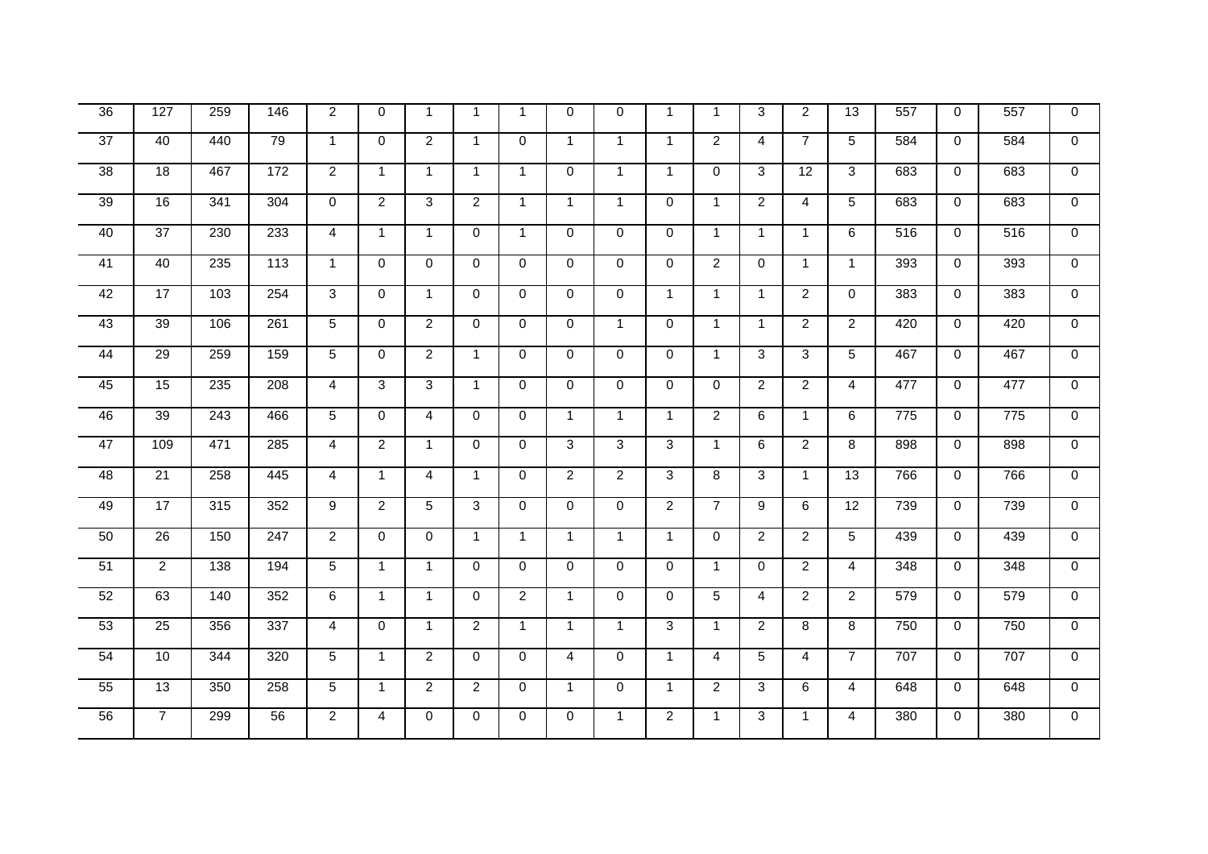| $\overline{36}$ | 127             | 259              | 146 | $\overline{2}$ | 0              | $\mathbf 1$    | $\mathbf{1}$   | $\mathbf{1}$   | $\mathbf 0$    | $\Omega$       | $\mathbf{1}$   | $\overline{1}$ | 3              | $\overline{2}$  | 13             | 557             | $\mathbf 0$ | 557             | $\mathbf 0$    |
|-----------------|-----------------|------------------|-----|----------------|----------------|----------------|----------------|----------------|----------------|----------------|----------------|----------------|----------------|-----------------|----------------|-----------------|-------------|-----------------|----------------|
| $\overline{37}$ | 40              | 440              | 79  | $\mathbf{1}$   | $\Omega$       | $\overline{2}$ | $\mathbf{1}$   | $\mathbf{0}$   | $\mathbf{1}$   | $\mathbf{1}$   | $\mathbf{1}$   | $\overline{2}$ | $\overline{4}$ | $\overline{7}$  | 5              | 584             | $\Omega$    | 584             | $\Omega$       |
| 38              | $\overline{18}$ | 467              | 172 | $\overline{2}$ | $\mathbf{1}$   | $\overline{1}$ | $\mathbf{1}$   | $\mathbf{1}$   | $\overline{0}$ | $\mathbf{1}$   | $\mathbf{1}$   | $\mathbf 0$    | $\overline{3}$ | $\overline{12}$ | $\overline{3}$ | 683             | 0           | 683             | $\overline{0}$ |
| 39              | $\overline{16}$ | 341              | 304 | $\Omega$       | $\overline{2}$ | 3              | $\overline{2}$ | $\mathbf{1}$   | $\mathbf{1}$   | $\mathbf{1}$   | $\Omega$       | $\mathbf{1}$   | $\overline{2}$ | $\overline{4}$  | 5              | 683             | $\mathbf 0$ | 683             | $\overline{0}$ |
| 40              | $\overline{37}$ | 230              | 233 | $\overline{4}$ | $\mathbf{1}$   | $\mathbf{1}$   | $\mathbf 0$    | $\mathbf{1}$   | 0              | $\Omega$       | $\mathbf 0$    | $\mathbf{1}$   | $\mathbf{1}$   | $\mathbf{1}$    | 6              | 516             | $\mathbf 0$ | 516             | $\mathbf 0$    |
| 41              | 40              | 235              | 113 | $\mathbf{1}$   | $\mathbf 0$    | $\Omega$       | $\mathbf 0$    | $\mathbf 0$    | $\mathsf{O}$   | $\Omega$       | $\Omega$       | $\overline{2}$ | $\mathbf 0$    | $\mathbf{1}$    | $\mathbf{1}$   | 393             | $\mathbf 0$ | 393             | $\overline{0}$ |
| 42              | $\overline{17}$ | 103              | 254 | 3              | $\mathbf 0$    | $\overline{1}$ | $\Omega$       | $\mathbf 0$    | 0              | $\Omega$       | $\mathbf{1}$   | $\mathbf{1}$   | $\mathbf{1}$   | $\overline{2}$  | $\Omega$       | 383             | $\mathbf 0$ | 383             | $\mathbf 0$    |
| 43              | 39              | 106              | 261 | 5              | $\mathbf 0$    | 2              | $\mathbf 0$    | $\mathbf 0$    | $\mathbf 0$    | $\mathbf{1}$   | $\Omega$       | $\mathbf{1}$   | $\mathbf{1}$   | $\overline{2}$  | $\overline{2}$ | 420             | $\mathbf 0$ | 420             | $\mathbf{0}$   |
| 44              | 29              | 259              | 159 | 5              | 0              | $\overline{2}$ | $\mathbf{1}$   | $\mathbf 0$    | 0              | $\Omega$       | $\mathbf 0$    | $\mathbf{1}$   | 3              | $\overline{3}$  | 5              | 467             | $\mathbf 0$ | 467             | $\overline{0}$ |
| 45              | 15              | 235              | 208 | $\overline{4}$ | 3              | 3              | $\mathbf{1}$   | $\mathbf 0$    | 0              | $\Omega$       | $\mathbf 0$    | $\Omega$       | $\overline{a}$ | $\overline{2}$  | 4              | 477             | $\mathbf 0$ | 477             | $\overline{0}$ |
| 46              | 39              | $\overline{243}$ | 466 | 5              | $\mathbf 0$    | 4              | $\mathbf 0$    | $\mathbf 0$    | $\mathbf{1}$   | $\mathbf{1}$   | $\mathbf{1}$   | $\overline{2}$ | 6              | $\mathbf{1}$    | 6              | $\frac{1}{775}$ | $\mathbf 0$ | $\frac{1}{775}$ | $\mathbf 0$    |
| 47              | 109             | 471              | 285 | $\overline{4}$ | $\overline{2}$ | $\mathbf{1}$   | $\Omega$       | $\mathbf 0$    | 3              | 3              | 3              | $\mathbf{1}$   | 6              | $\overline{2}$  | 8              | 898             | $\mathbf 0$ | 898             | $\mathbf 0$    |
| 48              | 21              | 258              | 445 | $\overline{4}$ | $\overline{1}$ | $\overline{4}$ | $\mathbf{1}$   | $\mathbf 0$    | $\overline{2}$ | $\overline{2}$ | 3              | 8              | 3              | $\mathbf{1}$    | 13             | 766             | $\mathbf 0$ | 766             | $\overline{0}$ |
| 49              | 17              | 315              | 352 | 9              | $\overline{2}$ | 5              | 3              | $\mathbf 0$    | 0              | $\mathbf 0$    | $\overline{2}$ | $\overline{7}$ | 9              | 6               | 12             | 739             | 0           | 739             | $\overline{0}$ |
| 50              | $\overline{26}$ | 150              | 247 | $\overline{2}$ | 0              | $\mathbf 0$    | $\mathbf{1}$   | $\mathbf{1}$   | $\mathbf{1}$   | $\mathbf{1}$   | $\mathbf{1}$   | $\Omega$       | $\overline{a}$ | $\overline{2}$  | 5              | 439             | 0           | 439             | $\overline{0}$ |
| 51              | $\overline{2}$  | 138              | 194 | 5              | $\mathbf{1}$   | $\mathbf{1}$   | $\mathbf 0$    | $\mathbf 0$    | 0              | $\Omega$       | $\Omega$       | $\mathbf{1}$   | 0              | $\overline{2}$  | $\overline{4}$ | 348             | $\mathbf 0$ | 348             | $\Omega$       |
| 52              | 63              | 140              | 352 | 6              | $\mathbf{1}$   | $\mathbf{1}$   | $\Omega$       | $\overline{2}$ | $\mathbf{1}$   | $\mathbf{0}$   | $\Omega$       | 5              | $\overline{4}$ | $\overline{2}$  | $\overline{2}$ | 579             | $\mathbf 0$ | 579             | $\mathbf 0$    |
| 53              | $\overline{25}$ | 356              | 337 | $\overline{4}$ | $\Omega$       | $\mathbf{1}$   | $\overline{2}$ | $\mathbf{1}$   | $\mathbf{1}$   | $\mathbf{1}$   | 3              | $\mathbf{1}$   | $\overline{2}$ | 8               | 8              | 750             | $\Omega$    | 750             | $\mathbf{0}$   |
| 54              | 10              | 344              | 320 | 5              | $\mathbf{1}$   | $\overline{2}$ | $\mathbf 0$    | $\mathbf 0$    | 4              | $\mathbf 0$    | $\mathbf{1}$   | $\overline{4}$ | 5              | $\overline{4}$  | $\overline{7}$ | 707             | 0           | 707             | $\overline{0}$ |
| 55              | 13              | 350              | 258 | $\overline{5}$ | $\overline{1}$ | $\overline{2}$ | $\overline{2}$ | $\mathbf 0$    | $\mathbf{1}$   | $\Omega$       | $\mathbf{1}$   | $\overline{2}$ | $\overline{3}$ | 6               | $\overline{4}$ | 648             | $\mathbf 0$ | 648             | $\overline{0}$ |
| 56              | $\overline{7}$  | 299              | 56  | $\overline{2}$ | 4              | $\mathbf 0$    | $\mathbf 0$    | $\mathbf 0$    | $\overline{0}$ | $\mathbf{1}$   | $\overline{2}$ | $\mathbf 1$    | $\overline{3}$ | $\mathbf{1}$    | 4              | 380             | $\mathbf 0$ | 380             | $\overline{0}$ |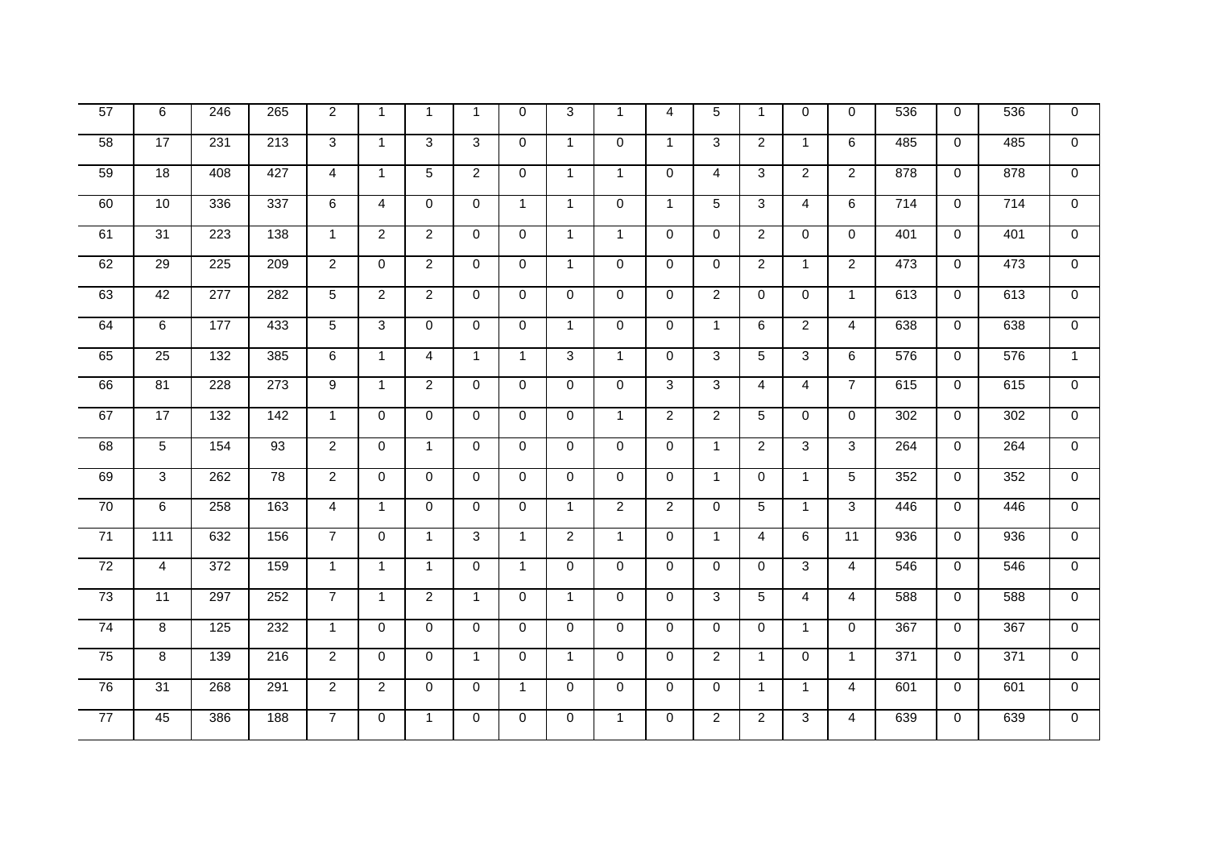| 57 | 6                   | 246              | 265              | 2              | $\mathbf{1}$   | $\mathbf 1$    | $\mathbf{1}$   | $\Omega$     | 3              | $\mathbf 1$    | 4              | 5              | $\mathbf{1}$   | $\Omega$       | $\mathbf{0}$    | 536 | $\mathbf 0$ | 536              | $\mathbf 0$    |
|----|---------------------|------------------|------------------|----------------|----------------|----------------|----------------|--------------|----------------|----------------|----------------|----------------|----------------|----------------|-----------------|-----|-------------|------------------|----------------|
| 58 | 17                  | 231              | $\overline{213}$ | 3              | $\mathbf{1}$   | 3              | 3              | $\mathbf 0$  | $\mathbf{1}$   | $\mathbf 0$    | $\mathbf{1}$   | 3              | $\overline{2}$ | $\mathbf{1}$   | 6               | 485 | $\mathbf 0$ | 485              | $\mathbf 0$    |
| 59 | 18                  | 408              | 427              | $\overline{4}$ | $\mathbf{1}$   | 5              | $\overline{2}$ | $\mathbf 0$  | $\mathbf{1}$   | $\mathbf{1}$   | $\mathbf 0$    | $\overline{4}$ | 3              | $\overline{2}$ | $\overline{2}$  | 878 | $\mathbf 0$ | 878              | $\overline{0}$ |
| 60 | 10                  | 336              | 337              | 6              | 4              | $\Omega$       | $\Omega$       | $\mathbf{1}$ | $\mathbf{1}$   | $\Omega$       | $\mathbf{1}$   | 5              | $\overline{3}$ | $\overline{4}$ | 6               | 714 | $\mathbf 0$ | 714              | $\overline{0}$ |
| 61 | $\overline{31}$     | 223              | 138              | $\mathbf{1}$   | $\overline{2}$ | $\overline{2}$ | $\mathbf 0$    | $\mathbf 0$  | $\mathbf{1}$   | $\mathbf{1}$   | $\mathbf 0$    | $\mathbf 0$    | $\overline{2}$ | $\mathbf 0$    | $\mathbf 0$     | 401 | $\mathbf 0$ | 401              | $\overline{0}$ |
| 62 | $\overline{29}$     | $\overline{225}$ | $\overline{209}$ | $\overline{2}$ | $\mathbf 0$    | $\overline{2}$ | $\mathbf 0$    | $\mathbf 0$  | $\mathbf{1}$   | $\Omega$       | $\Omega$       | $\Omega$       | $\overline{2}$ | $\mathbf{1}$   | $\overline{2}$  | 473 | $\mathbf 0$ | 473              | $\overline{0}$ |
| 63 | 42                  | 277              | 282              | $\overline{5}$ | $\overline{2}$ | $\overline{2}$ | $\mathbf 0$    | $\Omega$     | $\Omega$       | $\Omega$       | $\Omega$       | $\overline{2}$ | $\Omega$       | $\Omega$       | $\mathbf{1}$    | 613 | $\mathbf 0$ | 613              | $\Omega$       |
| 64 | 6                   | 177              | 433              | 5              | 3              | $\Omega$       | $\Omega$       | $\mathbf 0$  | $\mathbf{1}$   | $\mathbf{0}$   | $\Omega$       | $\mathbf{1}$   | 6              | $\overline{2}$ | $\overline{4}$  | 638 | $\mathbf 0$ | 638              | $\Omega$       |
| 65 | $\overline{25}$     | $\overline{132}$ | 385              | 6              | $\mathbf{1}$   | $\overline{4}$ | $\mathbf{1}$   | $\mathbf{1}$ | 3              | $\mathbf{1}$   | $\Omega$       | 3              | $\overline{5}$ | 3              | 6               | 576 | $\Omega$    | $\overline{576}$ | $\mathbf{1}$   |
| 66 | 81                  | 228              | 273              | 9              | $\mathbf{1}$   | $\overline{2}$ | $\mathbf 0$    | $\mathbf 0$  | $\mathsf{O}$   | $\Omega$       | 3              | 3              | $\overline{4}$ | $\overline{4}$ | $\overline{7}$  | 615 | $\mathbf 0$ | 615              | $\overline{0}$ |
| 67 | 17                  | $\overline{132}$ | $\frac{142}{2}$  | $\mathbf{1}$   | $\mathbf 0$    | $\Omega$       | $\mathbf 0$    | $\mathbf 0$  | 0              | $\mathbf{1}$   | $\overline{2}$ | $\overline{2}$ | 5              | $\Omega$       | $\mathbf 0$     | 302 | $\mathbf 0$ | 302              | $\mathbf{0}$   |
| 68 | $\overline{5}$      | 154              | 93               | $\overline{2}$ | $\mathbf 0$    | $\mathbf{1}$   | $\mathbf 0$    | $\mathbf 0$  | 0              | $\mathbf{0}$   | $\mathbf 0$    | $\mathbf{1}$   | $\overline{2}$ | 3              | 3               | 264 | $\mathbf 0$ | 264              | $\mathbf 0$    |
| 69 | $\overline{\omega}$ | 262              | 78               | $\overline{2}$ | $\mathbf 0$    | $\Omega$       | $\Omega$       | $\mathbf 0$  | $\overline{0}$ | $\Omega$       | $\Omega$       | $\mathbf{1}$   | $\overline{0}$ | $\mathbf{1}$   | $\overline{5}$  | 352 | $\Omega$    | 352              | $\overline{0}$ |
| 70 | 6                   | 258              | 163              | $\overline{4}$ | $\mathbf{1}$   | $\Omega$       | $\mathbf 0$    | $\mathbf 0$  | $\mathbf{1}$   | $\overline{2}$ | $\overline{2}$ | $\mathbf 0$    | 5              | $\mathbf{1}$   | 3               | 446 | $\mathbf 0$ | 446              | $\overline{0}$ |
| 71 | 111                 | 632              | 156              | $\overline{7}$ | $\Omega$       | $\overline{1}$ | 3              | $\mathbf{1}$ | $\overline{2}$ | $\mathbf{1}$   | $\Omega$       | $\mathbf{1}$   | $\overline{4}$ | 6              | $\overline{11}$ | 936 | $\mathbf 0$ | 936              | $\overline{0}$ |
| 72 | $\overline{4}$      | $\overline{372}$ | 159              | $\mathbf{1}$   | $\mathbf{1}$   | $\overline{1}$ | $\Omega$       | $\mathbf{1}$ | 0              | $\mathbf{0}$   | $\Omega$       | $\Omega$       | 0              | 3              | $\overline{4}$  | 546 | $\Omega$    | 546              | $\mathbf{0}$   |
| 73 | $\overline{11}$     | 297              | 252              | $\overline{7}$ | $\mathbf{1}$   | $\overline{2}$ | $\mathbf{1}$   | $\mathbf 0$  | $\mathbf{1}$   | $\mathbf 0$    | $\mathbf 0$    | 3              | 5              | $\overline{4}$ | $\overline{4}$  | 588 | 0           | 588              | $\mathbf 0$    |
| 74 | 8                   | $\frac{1}{25}$   | 232              | $\mathbf{1}$   | $\mathbf 0$    | $\Omega$       | $\Omega$       | $\mathbf 0$  | $\Omega$       | $\Omega$       | $\Omega$       | $\Omega$       | $\Omega$       | $\mathbf{1}$   | $\Omega$        | 367 | $\Omega$    | 367              | $\mathbf{0}$   |
| 75 | $\overline{8}$      | 139              | 216              | $\overline{2}$ | $\mathbf 0$    | $\Omega$       | $\mathbf{1}$   | $\mathbf 0$  | $\mathbf{1}$   | $\Omega$       | $\Omega$       | $\overline{2}$ | $\mathbf{1}$   | $\Omega$       | $\overline{1}$  | 371 | $\mathbf 0$ | $\overline{371}$ | $\mathbf{0}$   |
| 76 | 31                  | 268              | 291              | $\overline{2}$ | $\overline{2}$ | $\Omega$       | $\mathbf 0$    | $\mathbf{1}$ | 0              | $\mathbf 0$    | $\mathbf 0$    | $\mathbf 0$    | $\mathbf{1}$   | $\mathbf{1}$   | $\overline{4}$  | 601 | 0           | 601              | $\mathbf 0$    |
| 77 | 45                  | 386              | 188              | $\overline{7}$ | 0              | $\overline{1}$ | $\mathbf 0$    | $\mathbf 0$  | 0              | $\mathbf{1}$   | $\mathbf 0$    | $\overline{2}$ | $\overline{a}$ | 3              | $\overline{4}$  | 639 | $\mathbf 0$ | 639              | $\mathbf 0$    |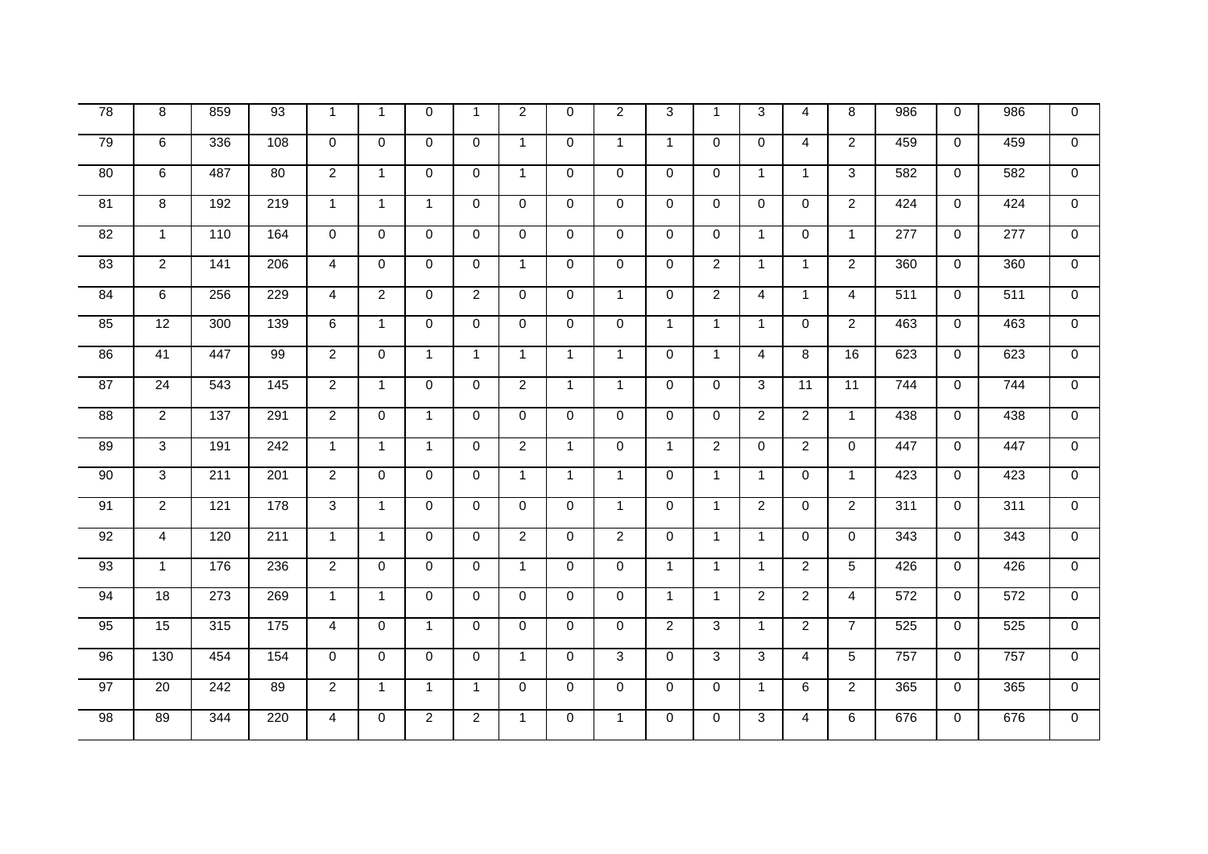| 78              | 8              | 859             | 93               | $\mathbf{1}$        | $\mathbf{1}$   | $\Omega$       | $\mathbf{1}$   | 2              | $\mathbf 0$  | 2              | 3              | $\overline{1}$ | 3              | $\overline{4}$ | 8              | 986              | $\mathbf 0$ | 986              | $\mathbf 0$    |
|-----------------|----------------|-----------------|------------------|---------------------|----------------|----------------|----------------|----------------|--------------|----------------|----------------|----------------|----------------|----------------|----------------|------------------|-------------|------------------|----------------|
| 79              | $\overline{6}$ | 336             | 108              | $\mathbf 0$         | $\mathbf 0$    | $\Omega$       | $\mathbf 0$    | $\mathbf{1}$   | $\mathsf{O}$ | $\mathbf{1}$   | $\mathbf{1}$   | $\mathbf 0$    | 0              | $\overline{4}$ | $\overline{2}$ | 459              | $\mathbf 0$ | 459              | $\overline{0}$ |
| $\overline{80}$ | 6              | 487             | 80               | $\overline{2}$      | $\mathbf{1}$   | $\Omega$       | $\Omega$       | $\mathbf{1}$   | 0            | $\mathbf{0}$   | $\Omega$       | $\Omega$       | $\mathbf{1}$   | $\mathbf{1}$   | 3              | 582              | $\mathbf 0$ | 582              | $\mathbf{0}$   |
| $\overline{81}$ | 8              | 192             | 219              | $\mathbf{1}$        | $\mathbf{1}$   | $\overline{1}$ | $\Omega$       | $\Omega$       | $\Omega$     | $\Omega$       | $\Omega$       | $\Omega$       | $\Omega$       | $\Omega$       | $\overline{2}$ | 424              | $\Omega$    | 424              | $\mathbf{0}$   |
| 82              | $\mathbf{1}$   | 110             | 164              | $\mathbf 0$         | $\mathbf 0$    | $\Omega$       | $\mathbf 0$    | $\mathbf 0$    | 0            | $\mathbf 0$    | $\mathbf 0$    | $\mathbf 0$    | $\mathbf{1}$   | $\mathbf 0$    | $\mathbf{1}$   | 277              | $\mathbf 0$ | $\overline{277}$ | $\overline{0}$ |
| 83              | $\overline{2}$ | $\frac{1}{141}$ | $\overline{206}$ | $\overline{4}$      | $\Omega$       | $\Omega$       | $\Omega$       | $\mathbf{1}$   | 0            | $\Omega$       | $\Omega$       | $\overline{2}$ | $\mathbf{1}$   | $\mathbf{1}$   | $\overline{2}$ | 360              | $\mathbf 0$ | 360              | $\mathbf{0}$   |
| 84              | 6              | 256             | 229              | $\overline{4}$      | $\overline{2}$ | $\Omega$       | $\overline{2}$ | $\mathbf{0}$   | $\Omega$     | $\mathbf{1}$   | $\Omega$       | $\overline{2}$ | $\overline{4}$ | $\mathbf{1}$   | $\overline{4}$ | 511              | $\Omega$    | $\overline{511}$ | $\Omega$       |
| 85              | 12             | 300             | 139              | 6                   | $\mathbf{1}$   | $\Omega$       | $\Omega$       | $\mathbf 0$    | 0            | $\Omega$       | $\mathbf{1}$   | $\overline{1}$ | $\mathbf{1}$   | $\Omega$       | $\overline{2}$ | 463              | $\Omega$    | 463              | $\overline{0}$ |
| 86              | 41             | 447             | 99               | $\overline{2}$      | $\Omega$       | $\overline{1}$ | $\mathbf{1}$   | $\mathbf{1}$   | $\mathbf{1}$ | $\mathbf{1}$   | $\Omega$       | $\mathbf{1}$   | $\overline{4}$ | 8              | 16             | 623              | $\Omega$    | 623              | $\overline{0}$ |
| $\overline{87}$ | 24             | 543             | $\frac{145}{ }$  | $\overline{2}$      | $\mathbf{1}$   | $\mathbf 0$    | $\mathbf 0$    | $\overline{2}$ | $\mathbf{1}$ | $\mathbf{1}$   | $\mathbf 0$    | $\overline{0}$ | 3              | 11             | 11             | 744              | 0           | 744              | $\overline{0}$ |
| 88              | $\overline{2}$ | 137             | 291              | $\overline{2}$      | $\Omega$       | $\overline{1}$ | $\Omega$       | $\Omega$       | $\Omega$     | $\Omega$       | $\Omega$       | $\Omega$       | $\overline{2}$ | $\overline{2}$ | $\mathbf{1}$   | 438              | $\Omega$    | 438              | $\mathbf{0}$   |
| 89              | 3              | 191             | 242              | $\mathbf{1}$        | $\mathbf{1}$   | $\overline{1}$ | $\Omega$       | $\overline{2}$ | $\mathbf{1}$ | $\mathbf{0}$   | $\mathbf{1}$   | $\overline{2}$ | 0              | $\overline{2}$ | $\Omega$       | 447              | $\Omega$    | 447              | $\Omega$       |
| 90              | $\overline{3}$ | 211             | 201              | $\overline{2}$      | $\mathbf 0$    | $\Omega$       | $\Omega$       | $\mathbf{1}$   | $\mathbf{1}$ | $\mathbf{1}$   | $\Omega$       | $\mathbf{1}$   | $\mathbf{1}$   | $\Omega$       | $\mathbf{1}$   | 423              | $\Omega$    | 423              | $\Omega$       |
| 91              | $\overline{2}$ | 121             | 178              | $\overline{\omega}$ | $\mathbf{1}$   | $\Omega$       | $\mathbf 0$    | $\mathbf 0$    | 0            | $\mathbf{1}$   | $\mathbf 0$    | $\mathbf{1}$   | $\overline{2}$ | $\Omega$       | $\overline{2}$ | $\overline{311}$ | $\mathbf 0$ | $\overline{311}$ | $\overline{0}$ |
| 92              | $\overline{4}$ | 120             | 211              | $\mathbf{1}$        | $\mathbf{1}$   | $\Omega$       | $\mathbf 0$    | $\overline{2}$ | 0            | $\overline{2}$ | $\mathbf 0$    | $\mathbf{1}$   | $\mathbf{1}$   | $\mathbf 0$    | $\mathbf 0$    | $\frac{1}{343}$  | $\mathbf 0$ | $\frac{1}{343}$  | $\overline{0}$ |
| $\overline{93}$ | $\mathbf{1}$   | 176             | 236              | $\overline{2}$      | $\mathbf 0$    | $\Omega$       | $\mathbf 0$    | $\mathbf{1}$   | 0            | $\mathbf{0}$   | $\mathbf{1}$   | $\mathbf{1}$   | $\mathbf{1}$   | $\overline{2}$ | 5              | 426              | $\mathbf 0$ | 426              | $\overline{0}$ |
| 94              | 18             | 273             | 269              | $\mathbf{1}$        | $\mathbf{1}$   | $\Omega$       | $\Omega$       | $\mathbf 0$    | 0            | $\Omega$       | $\mathbf{1}$   | $\mathbf{1}$   | $\overline{2}$ | $\overline{2}$ | $\overline{4}$ | 572              | $\mathbf 0$ | 572              | $\overline{0}$ |
| 95              | 15             | 315             | $\frac{175}{2}$  | $\overline{4}$      | $\mathbf 0$    | $\mathbf{1}$   | $\mathbf 0$    | $\mathbf 0$    | 0            | $\Omega$       | $\overline{2}$ | 3              | $\mathbf{1}$   | $\overline{2}$ | $\overline{7}$ | 525              | $\mathbf 0$ | 525              | $\overline{0}$ |
| 96              | 130            | 454             | 154              | $\mathbf 0$         | $\mathbf 0$    | $\Omega$       | $\mathbf 0$    | $\mathbf{1}$   | 0            | $\overline{3}$ | $\Omega$       | 3              | 3              | $\overline{4}$ | 5              | 757              | $\mathbf 0$ | 757              | $\overline{0}$ |
| 97              | 20             | 242             | 89               | $\overline{2}$      | $\mathbf{1}$   | $\mathbf{1}$   | $\mathbf{1}$   | $\Omega$       | $\Omega$     | $\Omega$       | $\Omega$       | $\Omega$       | $\mathbf{1}$   | 6              | $\overline{2}$ | 365              | $\Omega$    | 365              | $\overline{0}$ |
| 98              | 89             | 344             | 220              | $\overline{4}$      | 0              | $\overline{2}$ | $\overline{2}$ | $\mathbf{1}$   | 0            | $\mathbf{1}$   | $\mathbf 0$    | $\mathbf 0$    | 3              | $\overline{4}$ | 6              | 676              | $\mathbf 0$ | 676              | $\overline{0}$ |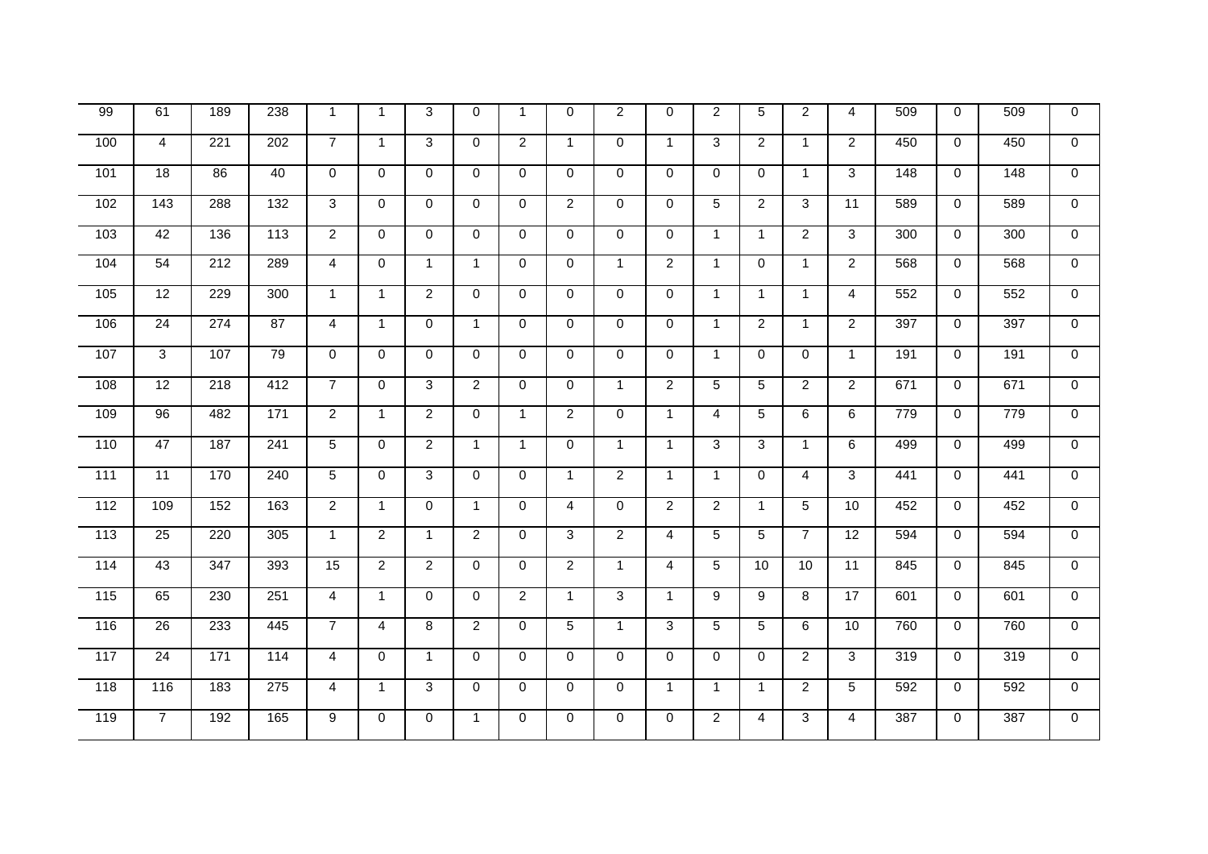| 99  | 61              | 189              | 238              | $\mathbf 1$    | $\overline{1}$ | 3              | $\mathbf 0$    | $\mathbf{1}$   | $\mathbf 0$    | 2              | $\Omega$       | $\overline{2}$  | 5              | $\overline{2}$ | $\overline{4}$  | 509 | $\mathbf 0$ | 509 | $\mathbf 0$    |
|-----|-----------------|------------------|------------------|----------------|----------------|----------------|----------------|----------------|----------------|----------------|----------------|-----------------|----------------|----------------|-----------------|-----|-------------|-----|----------------|
| 100 | $\overline{4}$  | 221              | $\overline{202}$ | $\overline{7}$ | $\mathbf{1}$   | 3              | $\mathbf 0$    | 2              | $\mathbf{1}$   | $\mathbf 0$    | $\mathbf{1}$   | 3               | $\overline{2}$ | $\mathbf{1}$   | $\overline{2}$  | 450 | $\mathbf 0$ | 450 | $\mathbf 0$    |
| 101 | $\overline{18}$ | 86               | 40               | $\mathbf 0$    | 0              | $\Omega$       | $\mathbf 0$    | $\mathbf 0$    | $\mathbf 0$    | $\mathbf 0$    | $\mathbf 0$    | $\mathbf 0$     | $\mathbf 0$    | $\mathbf{1}$   | 3               | 148 | $\mathbf 0$ | 148 | $\mathbf 0$    |
| 102 | $\frac{143}{ }$ | 288              | $\overline{132}$ | 3              | $\mathbf 0$    | $\Omega$       | $\mathbf 0$    | $\mathbf 0$    | $\overline{a}$ | $\Omega$       | $\Omega$       | 5               | $\overline{2}$ | 3              | $\overline{11}$ | 589 | $\mathbf 0$ | 589 | $\mathbf{0}$   |
| 103 | 42              | 136              | 113              | $\overline{2}$ | $\mathbf 0$    | $\mathbf 0$    | $\mathbf 0$    | $\mathbf 0$    | 0              | $\mathbf 0$    | $\mathbf 0$    | $\overline{1}$  | $\mathbf{1}$   | $\overline{2}$ | 3               | 300 | $\mathbf 0$ | 300 | $\overline{0}$ |
| 104 | 54              | 212              | 289              | $\overline{4}$ | $\mathbf 0$    | $\mathbf{1}$   | $\mathbf{1}$   | $\mathbf 0$    | 0              | $\overline{1}$ | $\overline{2}$ | $\overline{1}$  | 0              | $\mathbf{1}$   | $\overline{2}$  | 568 | $\mathbf 0$ | 568 | $\overline{0}$ |
| 105 | 12              | 229              | 300              | $\mathbf{1}$   | $\mathbf{1}$   | $\overline{2}$ | $\Omega$       | $\mathbf 0$    | 0              | $\Omega$       | $\Omega$       | $\mathbf{1}$    | $\mathbf{1}$   | $\mathbf{1}$   | $\overline{4}$  | 552 | $\mathbf 0$ | 552 | $\mathbf 0$    |
| 106 | $\overline{24}$ | 274              | 87               | $\overline{4}$ | $\mathbf{1}$   | $\mathbf 0$    | $\mathbf{1}$   | $\mathbf 0$    | 0              | $\mathbf 0$    | $\mathbf 0$    | $\overline{1}$  | $\overline{2}$ | $\overline{1}$ | $\overline{2}$  | 397 | $\mathbf 0$ | 397 | $\overline{0}$ |
| 107 | $\overline{3}$  | 107              | 79               | $\Omega$       | $\mathbf 0$    | $\Omega$       | $\mathbf 0$    | $\mathbf 0$    | 0              | $\Omega$       | $\mathbf 0$    | $\mathbf{1}$    | $\Omega$       | $\Omega$       | $\mathbf{1}$    | 191 | $\mathbf 0$ | 191 | $\overline{0}$ |
| 108 | 12              | $\overline{218}$ | 412              | $\overline{7}$ | $\mathbf 0$    | 3              | $\overline{2}$ | $\mathbf 0$    | 0              | $\overline{1}$ | $\overline{2}$ | 5               | $\overline{5}$ | $\overline{2}$ | $\overline{2}$  | 671 | $\mathbf 0$ | 671 | $\Omega$       |
| 109 | 96              | 482              | $\frac{1}{171}$  | $\overline{2}$ | $\overline{1}$ | $\overline{2}$ | $\mathbf 0$    | $\mathbf{1}$   | $\overline{2}$ | $\mathbf 0$    | $\mathbf{1}$   | $\overline{4}$  | 5              | 6              | $\,6$           | 779 | 0           | 779 | $\mathbf 0$    |
| 110 | 47              | 187              | 241              | 5              | $\mathbf 0$    | $\overline{2}$ | $\mathbf{1}$   | $\mathbf{1}$   | $\mathbf 0$    | $\overline{1}$ | $\mathbf{1}$   | 3               | 3              | $\mathbf{1}$   | 6               | 499 | $\mathbf 0$ | 499 | $\mathbf 0$    |
| 111 | 11              | 170              | 240              | 5              | $\Omega$       | 3              | $\Omega$       | $\Omega$       | $\mathbf{1}$   | 2              | $\mathbf{1}$   | $\mathbf{1}$    | $\Omega$       | $\overline{4}$ | 3               | 441 | $\Omega$    | 441 | $\overline{0}$ |
| 112 | 109             | 152              | 163              | $\overline{2}$ | $\mathbf{1}$   | $\mathbf 0$    | $\mathbf{1}$   | 0              | 4              | $\mathbf 0$    | $\overline{2}$ | $\overline{2}$  | $\mathbf{1}$   | 5              | 10              | 452 | 0           | 452 | $\mathbf 0$    |
| 113 | $\overline{25}$ | $\overline{220}$ | 305              | $\mathbf{1}$   | $\overline{2}$ | $\mathbf{1}$   | $\overline{2}$ | $\Omega$       | 3              | $\overline{2}$ | $\overline{4}$ | 5               | $\overline{5}$ | $\overline{7}$ | $\overline{12}$ | 594 | $\mathbf 0$ | 594 | $\Omega$       |
| 114 | 43              | $\overline{347}$ | 393              | 15             | $\overline{2}$ | $\overline{2}$ | $\mathbf 0$    | $\mathbf 0$    | $\overline{2}$ | $\overline{1}$ | $\overline{4}$ | 5               | 10             | 10             | 11              | 845 | $\mathbf 0$ | 845 | $\Omega$       |
| 115 | 65              | 230              | 251              | $\overline{4}$ | $\mathbf{1}$   | $\mathbf 0$    | $\mathbf 0$    | $\overline{2}$ | 1              | $\overline{3}$ | $\mathbf{1}$   | 9               | 9              | 8              | 17              | 601 | 0           | 601 | $\mathbf 0$    |
| 116 | $\overline{26}$ | 233              | 445              | $\overline{7}$ | $\overline{4}$ | 8              | $\overline{2}$ | $\mathbf 0$    | 5              | $\overline{1}$ | 3              | $5\phantom{.0}$ | 5              | 6              | 10              | 760 | $\mathbf 0$ | 760 | $\overline{0}$ |
| 117 | $\overline{24}$ | $\frac{1}{171}$  | 114              | $\overline{4}$ | $\mathbf 0$    | $\mathbf{1}$   | $\mathbf 0$    | $\mathbf 0$    | $\mathbf 0$    | $\Omega$       | $\mathbf 0$    | $\Omega$        | $\mathbf 0$    | $\overline{2}$ | 3               | 319 | $\mathbf 0$ | 319 | $\Omega$       |
| 118 | 116             | 183              | 275              | $\overline{4}$ | $\mathbf{1}$   | 3              | $\mathbf 0$    | $\mathbf 0$    | $\mathbf 0$    | $\mathbf 0$    | $\mathbf{1}$   | $\overline{1}$  | $\mathbf{1}$   | $\overline{2}$ | 5               | 592 | 0           | 592 | $\mathbf 0$    |
| 119 | $\overline{7}$  | 192              | 165              | 9              | $\mathsf 0$    | $\mathbf 0$    | $\mathbf{1}$   | 0              | 0              | $\mathbf 0$    | $\mathbf 0$    | $\overline{2}$  | 4              | 3              | $\overline{4}$  | 387 | $\mathbf 0$ | 387 | $\mathbf 0$    |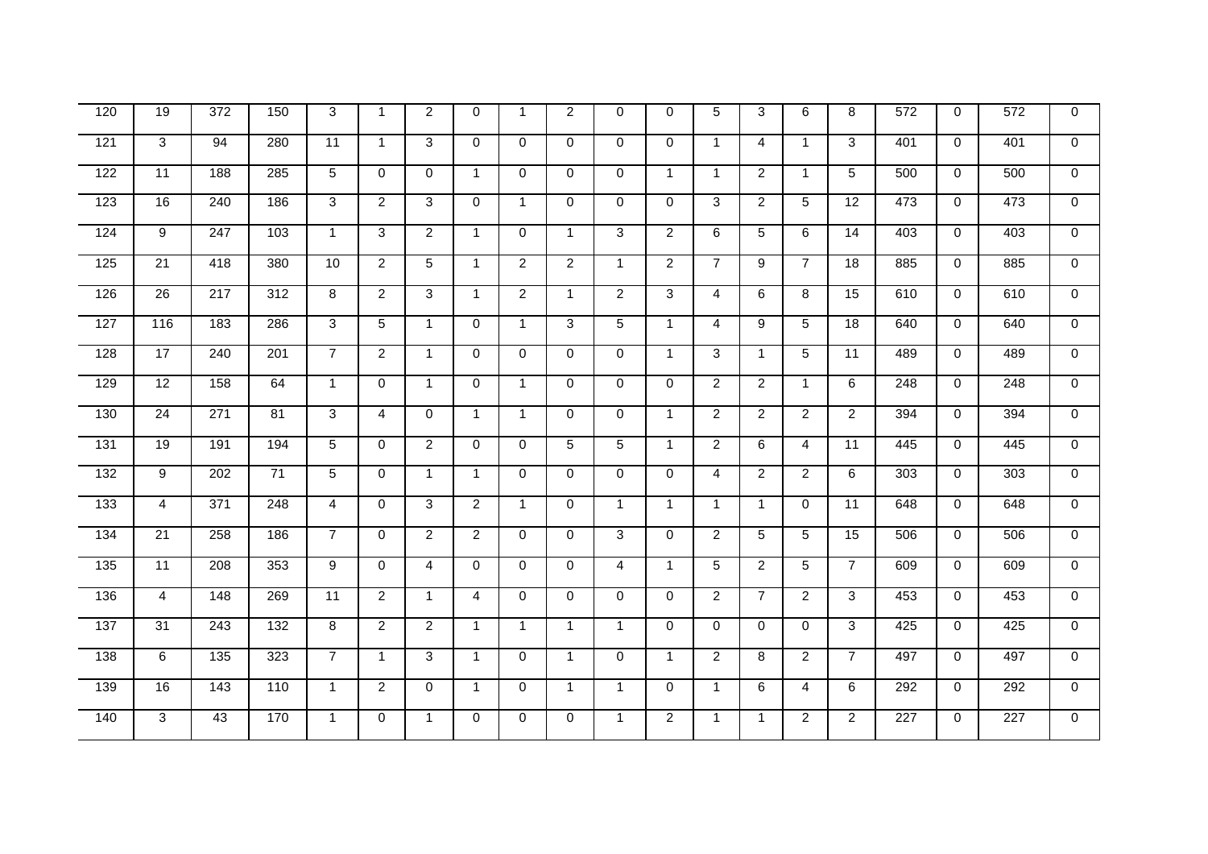| 120              | 19              | 372              | 150              | 3               | $\overline{1}$ | 2              | $\mathbf 0$    | $\overline{1}$ | $\overline{2}$ | $\Omega$       | $\Omega$       | 5              | 3              | 6              | 8               | 572 | $\mathbf 0$ | 572 | $\mathbf 0$    |
|------------------|-----------------|------------------|------------------|-----------------|----------------|----------------|----------------|----------------|----------------|----------------|----------------|----------------|----------------|----------------|-----------------|-----|-------------|-----|----------------|
| 121              | 3               | 94               | 280              | $\overline{11}$ | $\mathbf{1}$   | 3              | $\mathbf 0$    | $\mathbf 0$    | $\mathbf 0$    | $\mathbf 0$    | $\mathbf 0$    | $\overline{1}$ | $\overline{4}$ | $\mathbf{1}$   | 3               | 401 | $\mathbf 0$ | 401 | $\mathbf 0$    |
| 122              | 11              | 188              | 285              | 5               | $\mathbf 0$    | $\Omega$       | $\mathbf{1}$   | $\mathbf 0$    | $\mathbf 0$    | $\mathbf 0$    | $\mathbf{1}$   | $\mathbf{1}$   | $\overline{2}$ | $\mathbf{1}$   | 5               | 500 | $\mathbf 0$ | 500 | $\Omega$       |
| 123              | 16              | 240              | 186              | 3               | $\overline{2}$ | 3              | $\Omega$       | $\mathbf{1}$   | $\Omega$       | $\Omega$       | $\Omega$       | 3              | $\overline{2}$ | 5              | 12              | 473 | $\Omega$    | 473 | $\Omega$       |
| 124              | 9               | 247              | 103              | $\mathbf{1}$    | $\mathbf{3}$   | $\overline{2}$ | $\mathbf{1}$   | 0              | $\mathbf{1}$   | 3              | $\overline{2}$ | 6              | 5              | 6              | 14              | 403 | $\mathbf 0$ | 403 | $\mathbf 0$    |
| 125              | $\overline{21}$ | 418              | 380              | 10              | $\overline{2}$ | $\overline{5}$ | $\mathbf{1}$   | $\overline{2}$ | $\overline{2}$ | $\overline{1}$ | $\overline{2}$ | $\overline{7}$ | $\overline{9}$ | $\overline{7}$ | 18              | 885 | $\mathbf 0$ | 885 | $\Omega$       |
| 126              | $\overline{26}$ | $\overline{217}$ | $\overline{312}$ | 8               | $\overline{2}$ | 3              | $\mathbf{1}$   | $\overline{2}$ | $\mathbf{1}$   | $\overline{2}$ | 3              | $\overline{4}$ | 6              | 8              | $\overline{15}$ | 610 | $\mathbf 0$ | 610 | $\Omega$       |
| 127              | 116             | 183              | 286              | 3               | 5              | $\mathbf{1}$   | $\mathbf 0$    | $\mathbf{1}$   | 3              | 5              | $\mathbf{1}$   | $\overline{4}$ | 9              | 5              | 18              | 640 | $\mathbf 0$ | 640 | $\overline{0}$ |
| 128              | 17              | $\overline{240}$ | 201              | $\overline{7}$  | $\overline{2}$ | $\mathbf{1}$   | $\mathbf 0$    | $\mathbf 0$    | 0              | $\mathbf 0$    | $\mathbf{1}$   | 3              | $\mathbf{1}$   | 5              | 11              | 489 | $\mathbf 0$ | 489 | $\overline{0}$ |
| 129              | 12              | 158              | 64               | $\mathbf{1}$    | $\Omega$       | $\mathbf{1}$   | $\Omega$       | $\mathbf{1}$   | $\Omega$       | $\Omega$       | $\Omega$       | $\overline{2}$ | $\overline{2}$ | $\mathbf{1}$   | 6               | 248 | $\mathbf 0$ | 248 | $\overline{0}$ |
| 130              | $\overline{24}$ | 271              | $\overline{81}$  | 3               | $\overline{4}$ | $\Omega$       | $\mathbf{1}$   | $\mathbf{1}$   | 0              | $\mathbf 0$    | $\mathbf{1}$   | $\overline{2}$ | $\overline{c}$ | $\overline{2}$ | $\overline{2}$  | 394 | $\mathbf 0$ | 394 | $\mathbf 0$    |
| $\overline{131}$ | 19              | 191              | 194              | 5               | $\mathbf 0$    | $\overline{2}$ | $\mathbf 0$    | $\mathbf 0$    | 5              | 5              | $\mathbf{1}$   | $\overline{2}$ | 6              | $\overline{4}$ | 11              | 445 | $\mathbf 0$ | 445 | $\Omega$       |
| 132              | 9               | 202              | 71               | 5               | $\mathbf 0$    | $\mathbf{1}$   | $\mathbf{1}$   | $\mathbf 0$    | $\Omega$       | $\Omega$       | $\Omega$       | $\overline{4}$ | $\overline{2}$ | $\overline{2}$ | 6               | 303 | $\mathbf 0$ | 303 | $\Omega$       |
| 133              | $\overline{4}$  | 371              | 248              | $\overline{4}$  | 0              | 3              | $\overline{2}$ | $\mathbf{1}$   | 0              | $\overline{1}$ | $\mathbf 1$    | $\mathbf{1}$   | $\overline{1}$ | 0              | 11              | 648 | 0           | 648 | $\mathbf 0$    |
| 134              | $\overline{21}$ | 258              | 186              | $\overline{7}$  | $\mathbf 0$    | $\overline{2}$ | $\overline{2}$ | $\Omega$       | $\Omega$       | 3              | $\Omega$       | $\overline{2}$ | $\overline{5}$ | 5              | $\overline{15}$ | 506 | $\Omega$    | 506 | $\Omega$       |
| $\overline{135}$ | 11              | 208              | 353              | 9               | $\mathbf 0$    | $\overline{4}$ | $\mathbf 0$    | $\mathbf 0$    | $\mathbf 0$    | $\overline{4}$ | $\mathbf{1}$   | 5              | $\overline{2}$ | 5              | $\overline{7}$  | 609 | $\mathbf 0$ | 609 | $\Omega$       |
| 136              | $\overline{4}$  | 148              | 269              | 11              | $\overline{2}$ | $\mathbf{1}$   | $\overline{4}$ | $\mathbf 0$    | 0              | $\mathbf 0$    | $\mathbf 0$    | $\overline{2}$ | $\overline{7}$ | $\overline{2}$ | 3               | 453 | $\mathbf 0$ | 453 | $\mathbf 0$    |
| 137              | $\overline{31}$ | $\overline{243}$ | $\overline{132}$ | 8               | $\overline{2}$ | $\overline{2}$ | $\mathbf{1}$   | $\mathbf{1}$   | $\mathbf{1}$   | $\overline{1}$ | $\Omega$       | $\mathbf 0$    | $\mathbf 0$    | $\Omega$       | 3               | 425 | $\Omega$    | 425 | $\overline{0}$ |
| 138              | $6\overline{6}$ | 135              | 323              | $\overline{7}$  | $\mathbf{1}$   | 3              | $\mathbf{1}$   | $\mathbf 0$    | $\mathbf{1}$   | $\mathbf 0$    | $\mathbf{1}$   | $\overline{2}$ | 8              | $\overline{2}$ | $\overline{7}$  | 497 | $\mathbf 0$ | 497 | $\Omega$       |
| 139              | 16              | 143              | 110              | $\mathbf{1}$    | $\overline{2}$ | $\mathbf 0$    | $\mathbf{1}$   | $\mathbf 0$    | $\mathbf{1}$   | $\overline{1}$ | $\mathbf 0$    | $\overline{1}$ | 6              | 4              | 6               | 292 | 0           | 292 | $\mathbf 0$    |
| 140              | 3               | 43               | 170              | $\mathbf{1}$    | 0              | 1              | $\mathbf 0$    | $\mathbf 0$    | 0              | $\mathbf{1}$   | $\overline{2}$ | $\mathbf{1}$   | $\mathbf{1}$   | $\overline{a}$ | $\overline{2}$  | 227 | $\mathbf 0$ | 227 | $\mathbf 0$    |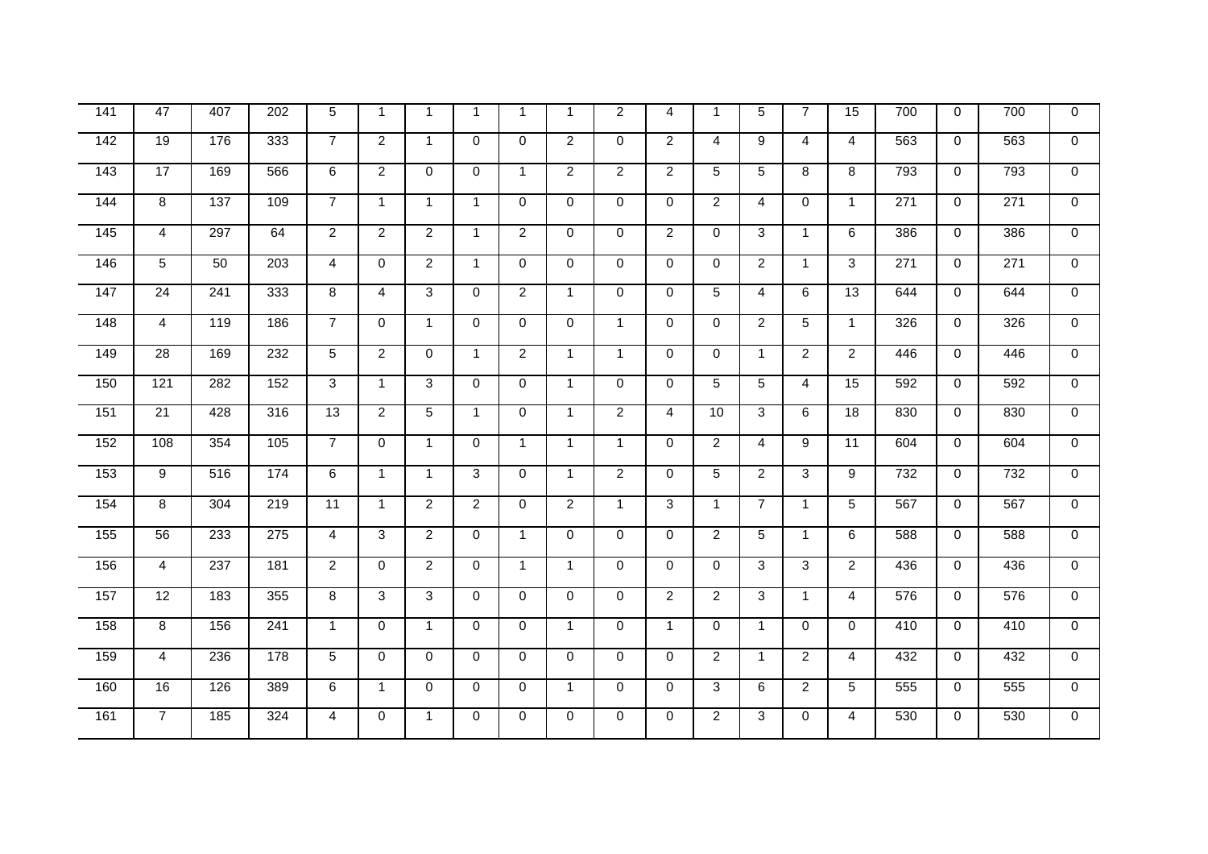| $\frac{1}{141}$   | 47              | 407 | 202              | 5               | $\mathbf{1}$   | $\mathbf 1$    | $\mathbf{1}$   | $\mathbf{1}$   | $\mathbf 1$    | $\overline{2}$ | 4              | $\mathbf{1}$   | 5                    | $\overline{7}$ | 15              | 700              | $\mathbf 0$ | 700 | $\Omega$       |
|-------------------|-----------------|-----|------------------|-----------------|----------------|----------------|----------------|----------------|----------------|----------------|----------------|----------------|----------------------|----------------|-----------------|------------------|-------------|-----|----------------|
|                   |                 |     |                  |                 |                |                |                |                |                |                |                |                |                      |                |                 |                  |             |     |                |
| $\frac{142}{142}$ | 19              | 176 | 333              | $\overline{7}$  | 2              | $\mathbf{1}$   | $\Omega$       | $\Omega$       | $\overline{2}$ | $\Omega$       | $\overline{2}$ | 4              | 9                    | $\overline{4}$ | $\overline{4}$  | 563              | $\mathbf 0$ | 563 | $\Omega$       |
| 143               | 17              | 169 | 566              | 6               | $\overline{2}$ | $\mathbf 0$    | $\mathbf 0$    | $\mathbf{1}$   | $\overline{2}$ | $\overline{2}$ | $\overline{2}$ | 5              | 5                    | 8              | 8               | 793              | 0           | 793 | $\mathbf 0$    |
| 144               | 8               | 137 | 109              | $\overline{7}$  | $\mathbf{1}$   | $\mathbf{1}$   | $\mathbf{1}$   | $\mathbf 0$    | $\Omega$       | $\Omega$       | $\Omega$       | $\overline{2}$ | 4                    | $\Omega$       | $\mathbf{1}$    | $\overline{271}$ | $\mathbf 0$ | 271 | $\mathbf{0}$   |
| 145               | $\overline{4}$  | 297 | 64               | $\overline{2}$  | $\overline{2}$ | 2              | $\mathbf{1}$   | $\overline{2}$ | $\Omega$       | $\Omega$       | $\overline{2}$ | $\mathbf 0$    | 3                    | $\mathbf{1}$   | 6               | 386              | $\mathbf 0$ | 386 | $\mathbf 0$    |
| 146               | 5               | 50  | 203              | 4               | $\Omega$       | 2              | $\mathbf{1}$   | $\Omega$       | 0              | $\Omega$       | $\Omega$       | $\Omega$       | $\overline{2}$       | $\mathbf{1}$   | 3               | 271              | $\mathbf 0$ | 271 | $\Omega$       |
| 147               | $\overline{24}$ | 241 | 333              | 8               | 4              | 3              | $\mathbf 0$    | $\overline{2}$ | $\mathbf{1}$   | $\mathbf 0$    | $\mathbf 0$    | 5              | 4                    | 6              | $\overline{13}$ | 644              | 0           | 644 | $\mathbf 0$    |
| 148               | $\overline{4}$  | 119 | 186              | $\overline{7}$  | $\mathbf 0$    | $\mathbf{1}$   | $\mathbf{0}$   | $\mathbf 0$    | 0              | $\mathbf{1}$   | $\Omega$       | $\overline{0}$ | $\overline{2}$       | 5              | $\mathbf{1}$    | 326              | $\mathbf 0$ | 326 | $\mathbf 0$    |
| 149               | $\overline{28}$ | 169 | 232              | 5               | $\overline{2}$ | $\Omega$       | $\mathbf{1}$   | $\overline{c}$ | $\mathbf{1}$   | $\mathbf{1}$   | $\Omega$       | $\mathbf 0$    | $\blacktriangleleft$ | $\overline{2}$ | $\overline{c}$  | 446              | $\mathbf 0$ | 446 | $\overline{0}$ |
| 150               | 121             | 282 | 152              | 3               | $\mathbf{1}$   | 3              | $\mathbf 0$    | $\mathbf 0$    | $\overline{1}$ | $\Omega$       | $\Omega$       | 5              | 5                    | $\overline{4}$ | 15              | 592              | $\mathbf 0$ | 592 | $\mathbf{0}$   |
| 151               | $\overline{21}$ | 428 | 316              | $\overline{13}$ | $\overline{2}$ | 5              | $\mathbf{1}$   | $\mathbf 0$    | $\mathbf 1$    | $\overline{2}$ | 4              | 10             | 3                    | 6              | 18              | 830              | 0           | 830 | $\mathbf 0$    |
| 152               | 108             | 354 | 105              | $\overline{7}$  | 0              | $\mathbf{1}$   | $\mathbf 0$    | $\mathbf{1}$   | $\overline{1}$ | $\mathbf{1}$   | $\mathbf 0$    | $\overline{2}$ | $\overline{4}$       | 9              | 11              | 604              | 0           | 604 | $\mathbf 0$    |
| 153               | 9               | 516 | 174              | 6               | $\mathbf{1}$   | $\overline{1}$ | 3              | $\mathbf 0$    | $\overline{1}$ | $\overline{2}$ | $\Omega$       | 5              | $\overline{2}$       | 3              | 9               | 732              | $\Omega$    | 732 | $\Omega$       |
| 154               | 8               | 304 | 219              | 11              | $\mathbf{1}$   | 2              | $\overline{2}$ | $\mathbf 0$    | $\overline{2}$ | $\mathbf 1$    | 3              | $\overline{1}$ | $\overline{7}$       | $\mathbf{1}$   | 5               | 567              | 0           | 567 | $\Omega$       |
| 155               | 56              | 233 | $\overline{275}$ | 4               | 3              | $\overline{2}$ | $\mathbf 0$    | $\mathbf{1}$   | 0              | $\Omega$       | $\mathbf 0$    | $\overline{2}$ | $\overline{5}$       | $\mathbf{1}$   | 6               | 588              | $\mathbf 0$ | 588 | $\mathbf 0$    |
| 156               | $\overline{4}$  | 237 | 181              | $\overline{c}$  | $\mathbf 0$    | $\overline{c}$ | $\Omega$       | $\mathbf{1}$   | $\mathbf 1$    | $\Omega$       | $\Omega$       | $\mathbf 0$    | 3                    | 3              | $\overline{2}$  | 436              | $\mathbf 0$ | 436 | $\mathbf 0$    |
| 157               | 12              | 183 | 355              | 8               | 3              | 3              | $\Omega$       | $\mathbf 0$    | $\mathbf 0$    | $\Omega$       | $\overline{2}$ | $\overline{2}$ | $\overline{3}$       | $\mathbf{1}$   | $\overline{4}$  | 576              | $\mathbf 0$ | 576 | $\overline{0}$ |
| 158               | 8               | 156 | 241              | $\mathbf{1}$    | $\Omega$       | $\mathbf{1}$   | $\Omega$       | $\mathbf 0$    | $\mathbf{1}$   | $\Omega$       | $\mathbf{1}$   | $\Omega$       | $\mathbf{1}$         | $\Omega$       | $\Omega$        | 410              | $\Omega$    | 410 | $\overline{0}$ |
| 159               | $\overline{4}$  | 236 | 178              | 5               | $\mathbf 0$    | $\mathbf{0}$   | $\Omega$       | $\mathbf 0$    | $\Omega$       | $\Omega$       | $\Omega$       | $\overline{2}$ | $\mathbf{1}$         | $\overline{2}$ | 4               | 432              | $\mathbf 0$ | 432 | $\Omega$       |
| 160               | 16              | 126 | 389              | $\overline{6}$  | $\mathbf{1}$   | $\mathbf 0$    | $\mathbf 0$    | $\mathbf 0$    | $\mathbf{1}$   | $\Omega$       | $\mathbf 0$    | 3              | 6                    | $\overline{2}$ | $\overline{5}$  | 555              | 0           | 555 | $\mathbf 0$    |
| 161               | $\overline{7}$  | 185 | 324              | 4               | 0              | $\mathbf 1$    | $\mathbf 0$    | $\mathbf 0$    | 0              | $\mathbf 0$    | 0              | $\overline{2}$ | $\overline{3}$       | 0              | 4               | 530              | $\mathbf 0$ | 530 | $\mathbf 0$    |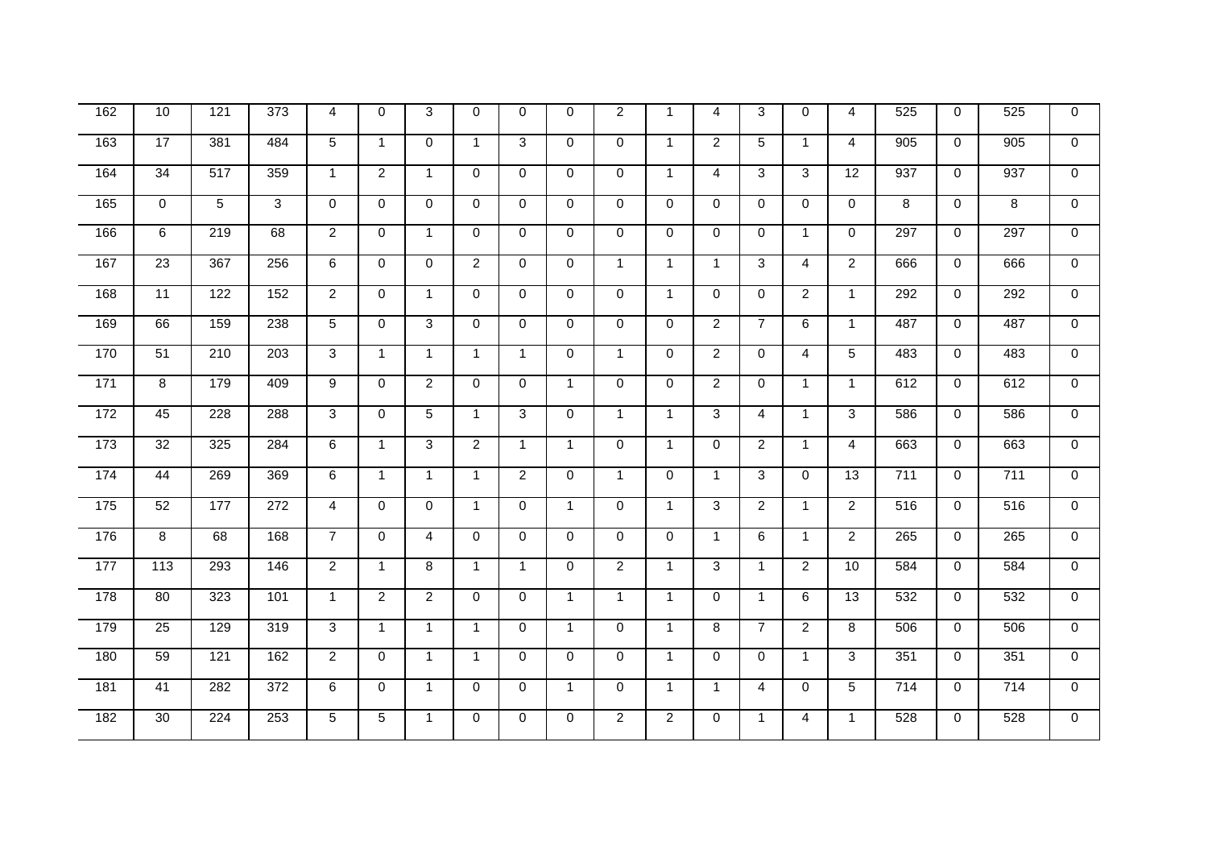| 162 | 10              | 121              | $\overline{373}$ | 4              | $\Omega$       | 3              | $\Omega$       | $\mathbf 0$    | $\Omega$     | $\overline{2}$ | $\mathbf{1}$   | 4              | 3              | $\Omega$       | 4              | 525 | $\mathbf 0$ | 525 | $\mathbf 0$    |
|-----|-----------------|------------------|------------------|----------------|----------------|----------------|----------------|----------------|--------------|----------------|----------------|----------------|----------------|----------------|----------------|-----|-------------|-----|----------------|
| 163 | 17              | 381              | 484              | 5              | $\mathbf{1}$   | $\Omega$       | $\mathbf{1}$   | 3              | 0            | $\Omega$       | $\mathbf{1}$   | $\overline{2}$ | 5              | $\mathbf{1}$   | $\overline{4}$ | 905 | $\mathbf 0$ | 905 | $\Omega$       |
| 164 | 34              | 517              | 359              | $\mathbf{1}$   | $\overline{2}$ | $\mathbf{1}$   | $\Omega$       | $\mathbf 0$    | $\mathbf 0$  | $\mathbf 0$    | $\mathbf{1}$   | 4              | 3              | 3              | 12             | 937 | $\mathbf 0$ | 937 | $\mathbf 0$    |
| 165 | $\mathbf 0$     | 5                | 3                | $\Omega$       | $\Omega$       | $\Omega$       | $\Omega$       | $\Omega$       | $\mathbf 0$  | $\Omega$       | $\Omega$       | $\Omega$       | $\mathbf 0$    | $\Omega$       | $\mathbf 0$    | 8   | $\mathbf 0$ | 8   | $\mathbf{0}$   |
| 166 | 6               | 219              | 68               | $\overline{2}$ | 0              | $\overline{1}$ | $\mathbf 0$    | 0              | $\mathbf 0$  | $\mathbf 0$    | $\mathbf 0$    | $\mathbf 0$    | 0              | $\mathbf{1}$   | $\mathbf 0$    | 297 | $\mathbf 0$ | 297 | $\mathbf 0$    |
| 167 | 23              | 367              | 256              | 6              | $\mathbf 0$    | $\Omega$       | $\overline{2}$ | $\mathbf 0$    | $\mathbf 0$  | $\overline{1}$ | $\mathbf{1}$   | $\overline{1}$ | $\overline{3}$ | 4              | $\overline{2}$ | 666 | $\mathbf 0$ | 666 | $\overline{0}$ |
| 168 | 11              | 122              | 152              | $\overline{2}$ | $\Omega$       | $\mathbf{1}$   | $\Omega$       | $\Omega$       | 0            | $\mathbf{0}$   | $\mathbf{1}$   | $\Omega$       | $\Omega$       | $\overline{2}$ | $\mathbf{1}$   | 292 | $\Omega$    | 292 | $\Omega$       |
| 169 | 66              | 159              | 238              | 5              | $\mathbf 0$    | 3              | $\mathbf 0$    | $\mathbf 0$    | $\mathbf{0}$ | $\mathbf 0$    | $\overline{0}$ | $\overline{2}$ | $\overline{7}$ | 6              | $\mathbf{1}$   | 487 | $\mathbf 0$ | 487 | $\overline{0}$ |
| 170 | $\overline{51}$ | $\overline{210}$ | $\overline{203}$ | 3              | $\mathbf{1}$   | $\mathbf{1}$   | $\mathbf{1}$   | $\mathbf{1}$   | $\Omega$     | $\overline{1}$ | $\Omega$       | $\overline{2}$ | 0              | 4              | 5              | 483 | $\Omega$    | 483 | $\mathbf{0}$   |
| 171 | $\overline{8}$  | 179              | 409              | 9              | $\mathbf 0$    | $\overline{2}$ | $\mathbf 0$    | $\mathbf 0$    | $\mathbf{1}$ | $\mathbf 0$    | $\mathbf 0$    | $\overline{2}$ | $\mathbf 0$    | $\mathbf 1$    | $\mathbf{1}$   | 612 | 0           | 612 | $\overline{0}$ |
| 172 | 45              | 228              | 288              | 3              | $\mathbf 0$    | 5              | $\mathbf{1}$   | 3              | $\mathbf 0$  | $\overline{1}$ | $\mathbf{1}$   | 3              | $\overline{4}$ | $\mathbf{1}$   | 3              | 586 | $\mathbf 0$ | 586 | $\Omega$       |
| 173 | 32              | 325              | 284              | 6              | $\mathbf{1}$   | 3              | $\overline{2}$ | $\mathbf{1}$   | $\mathbf{1}$ | $\mathbf{0}$   | $\mathbf{1}$   | $\Omega$       | $\overline{2}$ | $\mathbf{1}$   | $\overline{4}$ | 663 | $\Omega$    | 663 | $\Omega$       |
| 174 | 44              | 269              | 369              | 6              | $\mathbf{1}$   | $\mathbf{1}$   | $\mathbf{1}$   | $\overline{2}$ | 0            | $\overline{1}$ | $\Omega$       | $\mathbf{1}$   | 3              | $\Omega$       | 13             | 711 | $\Omega$    | 711 | $\overline{0}$ |
| 175 | 52              | 177              | 272              | $\overline{4}$ | $\mathbf 0$    | $\Omega$       | $\mathbf{1}$   | $\mathbf 0$    | $\mathbf{1}$ | $\mathbf 0$    | $\mathbf{1}$   | 3              | $\overline{2}$ | $\mathbf{1}$   | $\overline{2}$ | 516 | $\mathbf 0$ | 516 | $\overline{0}$ |
| 176 | 8               | 68               | 168              | $\overline{7}$ | $\mathbf 0$    | $\overline{4}$ | $\mathbf 0$    | $\mathbf 0$    | 0            | $\mathbf 0$    | $\mathbf 0$    | $\overline{1}$ | 6              | $\mathbf{1}$   | $\overline{2}$ | 265 | $\mathbf 0$ | 265 | $\mathbf 0$    |
| 177 | 113             | 293              | 146              | $\overline{2}$ | $\mathbf{1}$   | 8              | $\mathbf{1}$   | $\mathbf{1}$   | 0            | $\overline{2}$ | $\mathbf{1}$   | 3              | $\mathbf{1}$   | $\overline{2}$ | 10             | 584 | $\mathbf 0$ | 584 | $\Omega$       |
| 178 | 80              | 323              | 101              | $\mathbf{1}$   | 2              | 2              | $\mathbf 0$    | $\mathbf 0$    | $\mathbf{1}$ | $\overline{1}$ | $\mathbf{1}$   | $\Omega$       | $\mathbf{1}$   | 6              | 13             | 532 | $\mathbf 0$ | 532 | $\Omega$       |
| 179 | $\overline{25}$ | 129              | 319              | 3              | $\mathbf{1}$   | $\mathbf{1}$   | $\mathbf{1}$   | $\mathbf 0$    | $\mathbf{1}$ | $\Omega$       | $\mathbf{1}$   | 8              | $\overline{7}$ | $\overline{2}$ | 8              | 506 | $\mathbf 0$ | 506 | $\Omega$       |
| 180 | 59              | 121              | 162              | $\overline{2}$ | $\mathbf 0$    | $\mathbf{1}$   | $\mathbf{1}$   | $\mathbf 0$    | $\mathbf{0}$ | $\mathbf 0$    | $\mathbf{1}$   | $\Omega$       | $\mathbf 0$    | $\mathbf{1}$   | 3              | 351 | $\mathbf 0$ | 351 | $\Omega$       |
| 181 | 41              | 282              | 372              | 6              | $\mathbf 0$    | $\mathbf{1}$   | $\Omega$       | $\Omega$       | $\mathbf{1}$ | $\Omega$       | $\mathbf{1}$   | $\overline{1}$ | 4              | $\Omega$       | 5              | 714 | $\mathbf 0$ | 714 | $\Omega$       |
| 182 | $\overline{30}$ | 224              | 253              | 5              | 5              | $\overline{1}$ | $\mathbf 0$    | $\mathbf 0$    | 0            | $\overline{2}$ | $\overline{2}$ | $\mathbf 0$    | $\mathbf{1}$   | 4              | $\mathbf{1}$   | 528 | $\mathbf 0$ | 528 | $\mathbf 0$    |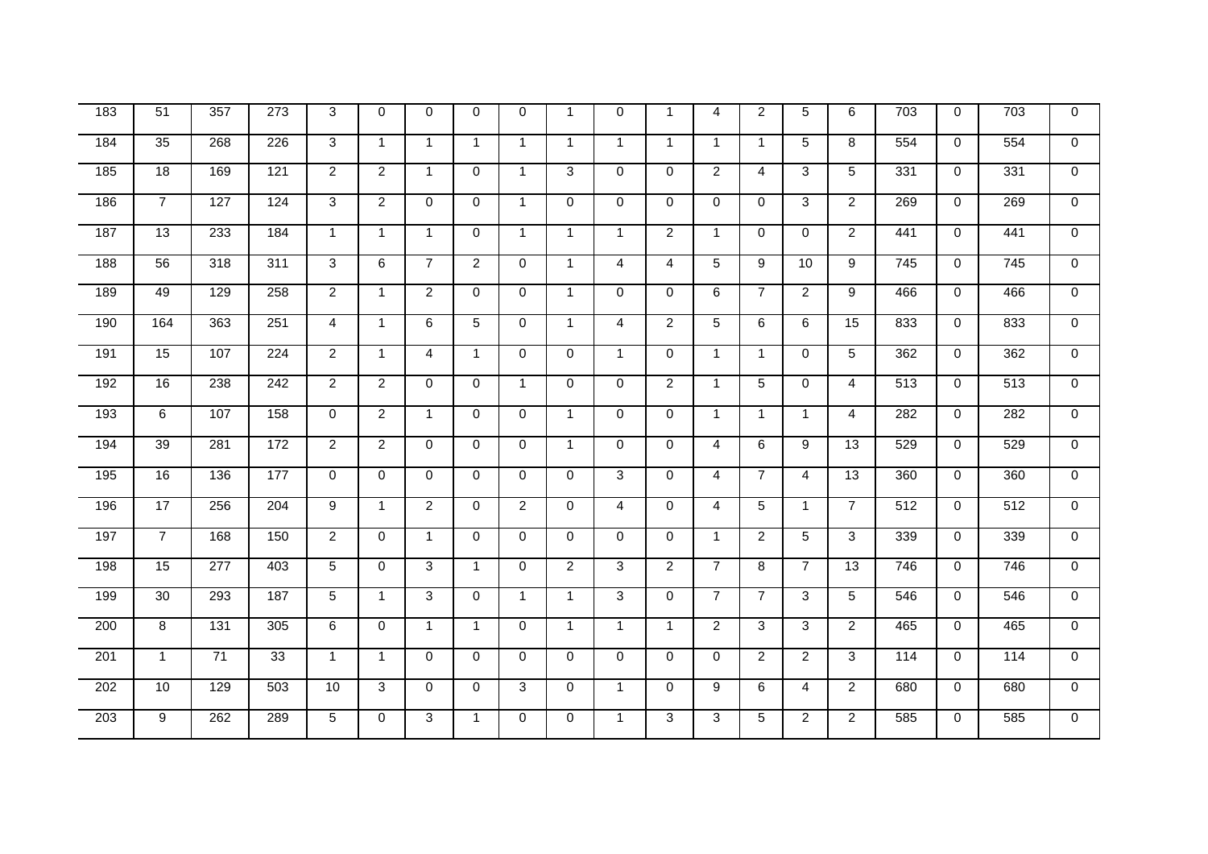| $\frac{1}{183}$ | $\overline{51}$ | 357              | $\overline{273}$ | 3              | $\mathbf 0$    | $\Omega$       | $\Omega$       | $\mathbf 0$    | $\mathbf{1}$   | $\Omega$       | $\mathbf{1}$   | 4              | $\overline{2}$ | 5              | 6               | $\overline{703}$ | $\mathbf 0$ | 703 | $\mathbf 0$    |
|-----------------|-----------------|------------------|------------------|----------------|----------------|----------------|----------------|----------------|----------------|----------------|----------------|----------------|----------------|----------------|-----------------|------------------|-------------|-----|----------------|
| 184             | 35              | 268              | 226              | 3              | $\mathbf{1}$   | $\mathbf{1}$   | $\mathbf{1}$   | $\mathbf{1}$   | $\mathbf{1}$   | $\mathbf{1}$   | $\mathbf{1}$   | $\overline{1}$ | $\mathbf{1}$   | 5              | 8               | 554              | $\Omega$    | 554 | $\Omega$       |
| 185             | $\overline{18}$ | 169              | 121              | $\overline{2}$ | $\overline{2}$ | $\mathbf{1}$   | $\mathbf 0$    | $\mathbf{1}$   | 3              | $\mathbf 0$    | $\mathbf 0$    | $\overline{2}$ | 4              | 3              | 5               | 331              | 0           | 331 | $\mathbf 0$    |
| 186             | $\overline{7}$  | 127              | 124              | 3              | $\overline{2}$ | $\Omega$       | $\Omega$       | $\mathbf{1}$   | $\Omega$       | $\Omega$       | $\Omega$       | $\Omega$       | $\Omega$       | 3              | $\overline{2}$  | 269              | $\Omega$    | 269 | $\mathbf 0$    |
| 187             | 13              | 233              | 184              | $\mathbf{1}$   | $\mathbf{1}$   | $\mathbf{1}$   | $\mathbf 0$    | $\mathbf{1}$   | $\mathbf{1}$   | $\mathbf 1$    | $\overline{2}$ | $\overline{1}$ | 0              | $\Omega$       | $\overline{2}$  | 441              | 0           | 441 | $\overline{0}$ |
| 188             | 56              | 318              | 311              | 3              | 6              | $\overline{7}$ | $\overline{2}$ | 0              | $\mathbf 1$    | 4              | 4              | 5              | 9              | 10             | 9               | 745              | 0           | 745 | $\Omega$       |
| 189             | 49              | 129              | 258              | $\overline{2}$ | $\mathbf{1}$   | $\overline{2}$ | $\mathbf 0$    | 0              | 1              | 0              | $\mathbf 0$    | 6              | $\overline{7}$ | $\overline{2}$ | 9               | 466              | 0           | 466 | $\mathbf 0$    |
| 190             | 164             | 363              | 251              | $\overline{4}$ | $\mathbf{1}$   | 6              | 5              | $\mathbf 0$    | $\mathbf{1}$   | $\overline{4}$ | $\overline{2}$ | 5              | 6              | 6              | 15              | 833              | $\mathbf 0$ | 833 | $\overline{0}$ |
| 191             | 15              | 107              | $\overline{224}$ | $\overline{2}$ | $\mathbf{1}$   | $\overline{4}$ | $\mathbf{1}$   | $\mathbf 0$    | $\Omega$       | $\overline{1}$ | $\Omega$       | $\overline{1}$ | $\mathbf{1}$   | $\Omega$       | 5               | 362              | $\mathbf 0$ | 362 | $\overline{0}$ |
| 192             | 16              | 238              | $\overline{242}$ | $\overline{2}$ | $\overline{2}$ | $\Omega$       | $\mathbf 0$    | $\mathbf{1}$   | 0              | $\mathbf{0}$   | $\overline{2}$ | $\overline{1}$ | 5              | $\Omega$       | $\overline{4}$  | 513              | $\mathbf 0$ | 513 | $\Omega$       |
| 193             | $\,6\,$         | 107              | 158              | $\mathbf 0$    | $\overline{2}$ | $\mathbf{1}$   | $\mathbf 0$    | $\mathbf 0$    | $\mathbf{1}$   | $\Omega$       | $\Omega$       | $\overline{1}$ | $\mathbf{1}$   | $\mathbf{1}$   | $\overline{4}$  | 282              | $\mathbf 0$ | 282 | $\mathbf 0$    |
| 194             | 39              | 281              | 172              | $\overline{2}$ | $\overline{2}$ | $\mathbf 0$    | $\mathbf 0$    | $\mathbf 0$    | $\mathbf{1}$   | $\mathbf 0$    | $\overline{0}$ | $\overline{4}$ | 6              | 9              | 13              | 529              | 0           | 529 | $\mathbf 0$    |
| 195             | 16              | 136              | 177              | $\mathbf 0$    | $\mathbf 0$    | $\mathbf 0$    | $\mathbf 0$    | $\mathbf 0$    | $\mathbf 0$    | 3              | $\mathbf 0$    | $\overline{4}$ | $\overline{7}$ | $\overline{4}$ | 13              | 360              | $\mathbf 0$ | 360 | $\overline{0}$ |
| 196             | 17              | 256              | 204              | 9              | $\mathbf{1}$   | $\overline{2}$ | $\Omega$       | $\overline{2}$ | $\Omega$       | $\overline{4}$ | $\Omega$       | $\overline{4}$ | 5              | $\mathbf{1}$   | $\overline{7}$  | 512              | $\Omega$    | 512 | $\mathbf 0$    |
| 197             | $\overline{7}$  | 168              | 150              | 2              | $\mathbf 0$    | 1              | $\mathbf 0$    | 0              | 0              | $\mathbf{0}$   | $\Omega$       | $\overline{1}$ | $\overline{2}$ | 5              | 3               | 339              | 0           | 339 | $\mathbf{0}$   |
| 198             | 15              | $\overline{277}$ | 403              | 5              | $\mathbf 0$    | 3              | $\mathbf{1}$   | $\mathbf 0$    | $\overline{2}$ | 3              | $\overline{2}$ | $\overline{7}$ | 8              | $\overline{7}$ | $\overline{13}$ | 746              | $\mathbf 0$ | 746 | $\mathbf 0$    |
| 199             | 30              | 293              | 187              | 5              | $\mathbf{1}$   | 3              | $\mathbf 0$    | $\mathbf{1}$   | $\mathbf{1}$   | 3              | $\overline{0}$ | $\overline{7}$ | $\overline{7}$ | 3              | 5               | 546              | $\mathbf 0$ | 546 | $\mathbf 0$    |
| 200             | 8               | 131              | 305              | 6              | $\Omega$       | $\mathbf{1}$   | $\mathbf{1}$   | $\mathbf 0$    | $\mathbf{1}$   | $\overline{1}$ | $\mathbf{1}$   | $\overline{2}$ | $\overline{3}$ | 3              | $\overline{2}$  | 465              | $\Omega$    | 465 | $\overline{0}$ |
| 201             | $\mathbf{1}$    | 71               | 33               | $\mathbf{1}$   | $\mathbf{1}$   | $\Omega$       | $\mathbf 0$    | 0              | $\Omega$       | $\mathbf{0}$   | $\Omega$       | $\Omega$       | $\overline{2}$ | $\overline{2}$ | 3               | 114              | 0           | 114 | $\Omega$       |
| 202             | 10              | 129              | 503              | 10             | $\overline{3}$ | $\mathbf 0$    | $\mathbf 0$    | $\overline{3}$ | 0              | $\mathbf{1}$   | $\mathbf 0$    | 9              | 6              | 4              | $\overline{2}$  | 680              | $\mathbf 0$ | 680 | $\mathbf{0}$   |
| 203             | 9               | $\overline{262}$ | 289              | 5              | $\mathbf 0$    | 3              | $\mathbf{1}$   | $\mathbf 0$    | 0              | $\mathbf{1}$   | 3              | 3              | 5              | $\overline{2}$ | $\overline{2}$  | 585              | $\mathbf 0$ | 585 | $\overline{0}$ |